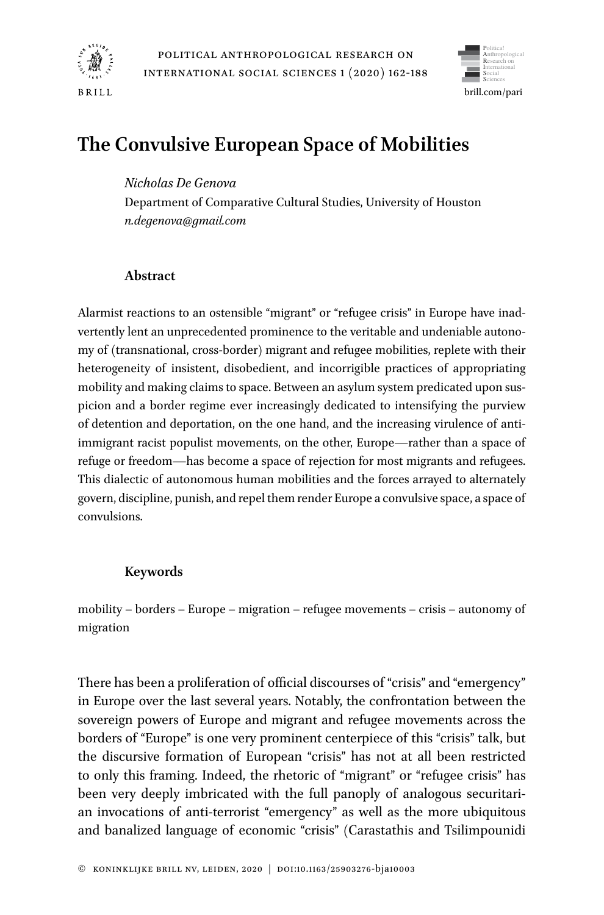



## **The Convulsive European Space of Mobilities**

*Nicholas De Genova*

Department of Comparative Cultural Studies, University of Houston *n.degenova@gmail.com*

## **Abstract**

Alarmist reactions to an ostensible "migrant" or "refugee crisis" in Europe have inadvertently lent an unprecedented prominence to the veritable and undeniable autonomy of (transnational, cross-border) migrant and refugee mobilities, replete with their heterogeneity of insistent, disobedient, and incorrigible practices of appropriating mobility and making claims to space. Between an asylum system predicated upon suspicion and a border regime ever increasingly dedicated to intensifying the purview of detention and deportation, on the one hand, and the increasing virulence of antiimmigrant racist populist movements, on the other, Europe—rather than a space of refuge or freedom—has become a space of rejection for most migrants and refugees. This dialectic of autonomous human mobilities and the forces arrayed to alternately govern, discipline, punish, and repel them render Europe a convulsive space, a space of convulsions.

## **Keywords**

mobility – borders – Europe – migration – refugee movements – crisis – autonomy of migration

There has been a proliferation of official discourses of "crisis" and "emergency" in Europe over the last several years. Notably, the confrontation between the sovereign powers of Europe and migrant and refugee movements across the borders of "Europe" is one very prominent centerpiece of this "crisis" talk, but the discursive formation of European "crisis" has not at all been restricted to only this framing. Indeed, the rhetoric of "migrant" or "refugee crisis" has been very deeply imbricated with the full panoply of analogous securitarian invocations of anti-terrorist "emergency" as well as the more ubiquitous and banalized language of economic "crisis" (Carastathis and Tsilimpounidi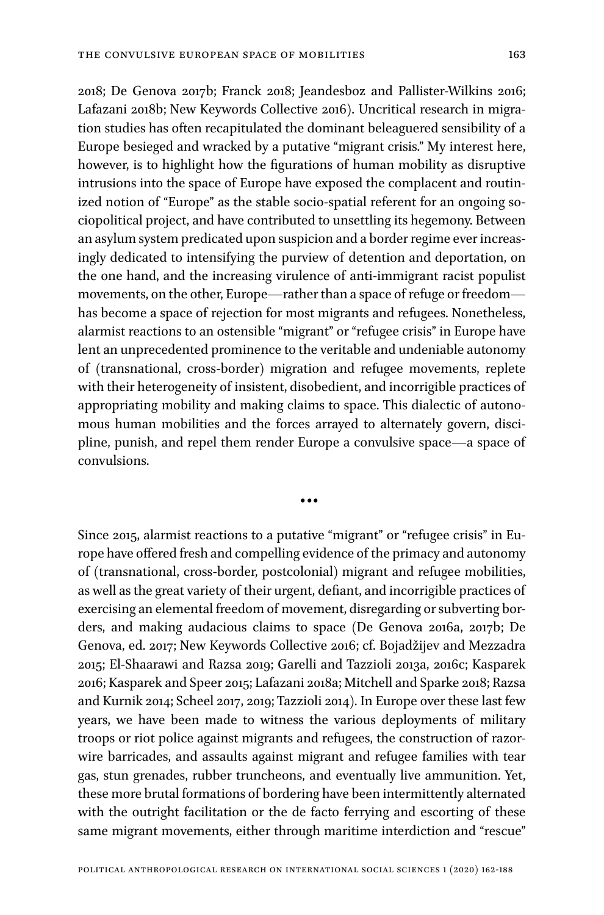2018; [De Genova 2017b](#page-18-0); [Franck 2018](#page-19-0); [Jeandesboz and Pallister-Wilkins 2016](#page-20-0); [Lafazani 2018b;](#page-20-1) [New Keywords Collective 2016](#page-21-0)). Uncritical research in migration studies has often recapitulated the dominant beleaguered sensibility of a Europe besieged and wracked by a putative "migrant crisis." My interest here, however, is to highlight how the figurations of human mobility as disruptive intrusions into the space of Europe have exposed the complacent and routinized notion of "Europe" as the stable socio-spatial referent for an ongoing sociopolitical project, and have contributed to unsettling its hegemony. Between an asylum system predicated upon suspicion and a border regime ever increasingly dedicated to intensifying the purview of detention and deportation, on the one hand, and the increasing virulence of anti-immigrant racist populist movements, on the other, Europe—rather than a space of refuge or freedom has become a space of rejection for most migrants and refugees. Nonetheless, alarmist reactions to an ostensible "migrant" or "refugee crisis" in Europe have lent an unprecedented prominence to the veritable and undeniable autonomy of (transnational, cross-border) migration and refugee movements, replete with their heterogeneity of insistent, disobedient, and incorrigible practices of appropriating mobility and making claims to space. This dialectic of autonomous human mobilities and the forces arrayed to alternately govern, discipline, punish, and repel them render Europe a convulsive space—a space of convulsions.

...

Since 2015, alarmist reactions to a putative "migrant" or "refugee crisis" in Europe have offered fresh and compelling evidence of the primacy and autonomy of (transnational, cross-border, postcolonial) migrant and refugee mobilities, as well as the great variety of their urgent, defiant, and incorrigible practices of exercising an elemental freedom of movement, disregarding or subverting borders, and making audacious claims to space ([De Genova 2016a, 2017b](#page-18-1); De Genova, ed. 2017; [New Keywords Collective 2016](#page-21-0); cf. Bojadžijev and Mezzadra 2015; [El-Shaarawi and Razsa 2019;](#page-18-2) [Garelli and Tazzioli 2013a, 2016c](#page-19-1); [Kasparek](#page-20-2)  [2016;](#page-20-2) [Kasparek and Speer 2015](#page-20-3); [Lafazani 2018a](#page-20-4); [Mitchell and Sparke 2018](#page-21-1); [Razsa](#page-22-0)  [and Kurnik 2014](#page-22-0); [Scheel 2017, 2019;](#page-23-0) [Tazzioli 2014](#page-24-0)). In Europe over these last few years, we have been made to witness the various deployments of military troops or riot police against migrants and refugees, the construction of razorwire barricades, and assaults against migrant and refugee families with tear gas, stun grenades, rubber truncheons, and eventually live ammunition. Yet, these more brutal formations of bordering have been intermittently alternated with the outright facilitation or the de facto ferrying and escorting of these same migrant movements, either through maritime interdiction and "rescue"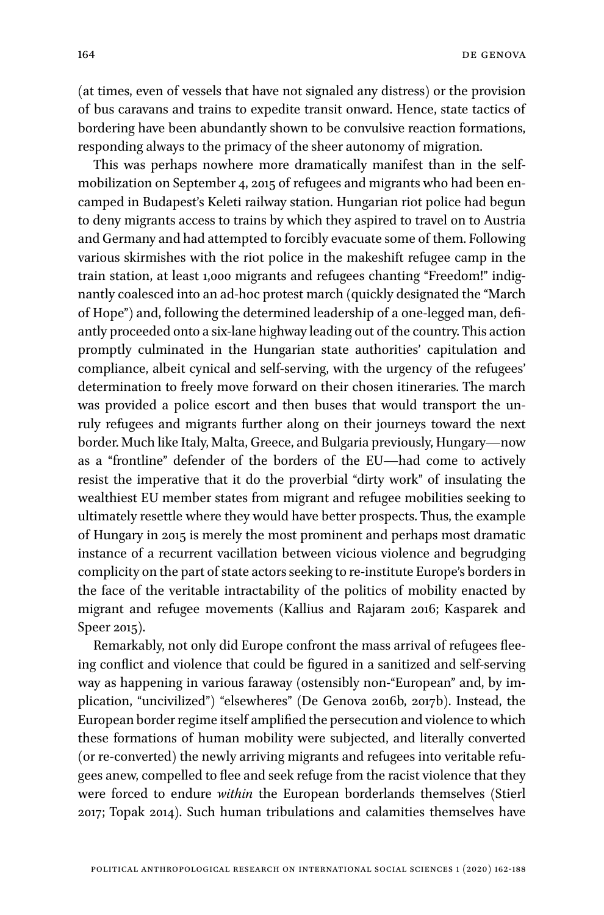(at times, even of vessels that have not signaled any distress) or the provision of bus caravans and trains to expedite transit onward. Hence, state tactics of bordering have been abundantly shown to be convulsive reaction formations, responding always to the primacy of the sheer autonomy of migration.

This was perhaps nowhere more dramatically manifest than in the selfmobilization on September 4, 2015 of refugees and migrants who had been encamped in Budapest's Keleti railway station. Hungarian riot police had begun to deny migrants access to trains by which they aspired to travel on to Austria and Germany and had attempted to forcibly evacuate some of them. Following various skirmishes with the riot police in the makeshift refugee camp in the train station, at least 1,000 migrants and refugees chanting "Freedom!" indignantly coalesced into an ad-hoc protest march (quickly designated the "March of Hope") and, following the determined leadership of a one-legged man, defiantly proceeded onto a six-lane highway leading out of the country. This action promptly culminated in the Hungarian state authorities' capitulation and compliance, albeit cynical and self-serving, with the urgency of the refugees' determination to freely move forward on their chosen itineraries. The march was provided a police escort and then buses that would transport the unruly refugees and migrants further along on their journeys toward the next border. Much like Italy, Malta, Greece, and Bulgaria previously, Hungary—now as a "frontline" defender of the borders of the EU—had come to actively resist the imperative that it do the proverbial "dirty work" of insulating the wealthiest EU member states from migrant and refugee mobilities seeking to ultimately resettle where they would have better prospects. Thus, the example of Hungary in 2015 is merely the most prominent and perhaps most dramatic instance of a recurrent vacillation between vicious violence and begrudging complicity on the part of state actors seeking to re-institute Europe's borders in the face of the veritable intractability of the politics of mobility enacted by migrant and refugee movements (Kallius and Rajaram 2016; [Kasparek and](#page-20-3)  [Speer 2015](#page-20-3)).

Remarkably, not only did Europe confront the mass arrival of refugees fleeing conflict and violence that could be figured in a sanitized and self-serving way as happening in various faraway (ostensibly non-"European" and, by implication, "uncivilized") "elsewheres" ([De Genova 2016b, 2017b\)](#page-18-3). Instead, the European border regime itself amplified the persecution and violence to which these formations of human mobility were subjected, and literally converted (or re-converted) the newly arriving migrants and refugees into veritable refugees anew, compelled to flee and seek refuge from the racist violence that they were forced to endure *within* the European borderlands themselves ([Stierl](#page-23-1)  [2017](#page-23-1); [Topak 2014\)](#page-25-0). Such human tribulations and calamities themselves have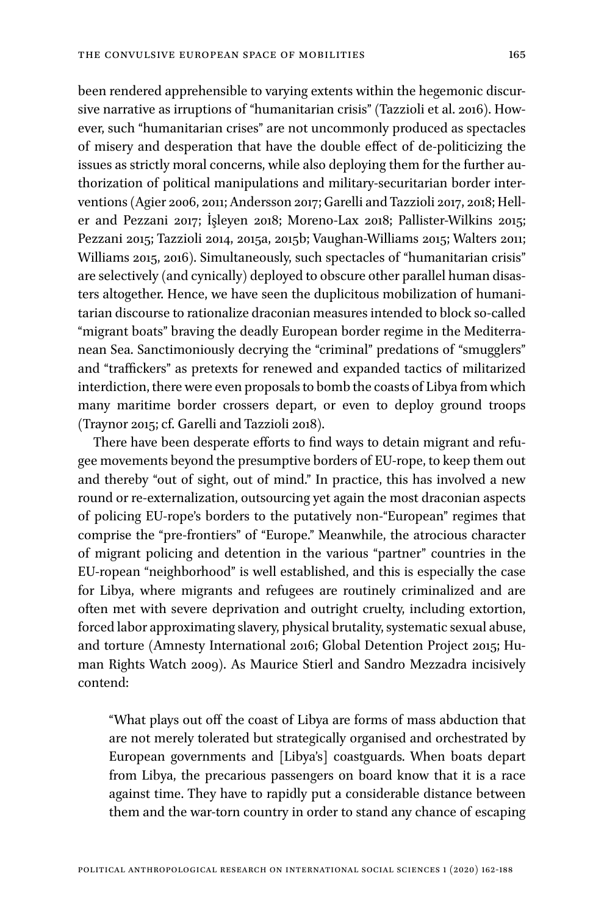(Traynor 2015; cf. Garelli and Tazzioli 2018).

been rendered apprehensible to varying extents within the hegemonic discursive narrative as irruptions of "humanitarian crisis" (Tazzioli et al. 2016). However, such "humanitarian crises" are not uncommonly produced as spectacles of misery and desperation that have the double effect of de-politicizing the issues as strictly moral concerns, while also deploying them for the further authorization of political manipulations and military-securitarian border interventions [\(Agier 2006, 2011](#page-15-0); [Andersson 2017;](#page-16-0) [Garelli and Tazzioli 2017, 2018](#page-19-2); [Hell](#page-20-5)[er and Pezzani 2017](#page-20-5); [İşleyen 2018;](#page-20-6) [Moreno-Lax 2018](#page-21-2); [Pallister-Wilkins 2015](#page-22-1); [Pezzani 2015;](#page-22-2) [Tazzioli 2014, 2015a, 2015b](#page-24-0); [Vaughan-Williams 2015](#page-25-1); [Walters 2011](#page-25-2); [Williams 2015, 2016](#page-25-3)). Simultaneously, such spectacles of "humanitarian crisis" are selectively (and cynically) deployed to obscure other parallel human disasters altogether. Hence, we have seen the duplicitous mobilization of humanitarian discourse to rationalize draconian measures intended to block so-called "migrant boats" braving the deadly European border regime in the Mediterranean Sea. Sanctimoniously decrying the "criminal" predations of "smugglers" and "traffickers" as pretexts for renewed and expanded tactics of militarized interdiction, there were even proposals to bomb the coasts of Libya from which many maritime border crossers depart, or even to deploy ground troops

There have been desperate efforts to find ways to detain migrant and refugee movements beyond the presumptive borders of EU-rope, to keep them out and thereby "out of sight, out of mind." In practice, this has involved a new round or re-externalization, outsourcing yet again the most draconian aspects of policing EU-rope's borders to the putatively non-"European" regimes that comprise the "pre-frontiers" of "Europe." Meanwhile, the atrocious character of migrant policing and detention in the various "partner" countries in the EU-ropean "neighborhood" is well established, and this is especially the case for Libya, where migrants and refugees are routinely criminalized and are often met with severe deprivation and outright cruelty, including extortion, forced labor approximating slavery, physical brutality, systematic sexual abuse, and torture (Amnesty International 2016; Global Detention Project 2015; Human Rights Watch 2009). As Maurice Stierl and Sandro Mezzadra incisively contend:

"What plays out off the coast of Libya are forms of mass abduction that are not merely tolerated but strategically organised and orchestrated by European governments and [Libya's] coastguards. When boats depart from Libya, the precarious passengers on board know that it is a race against time. They have to rapidly put a considerable distance between them and the war-torn country in order to stand any chance of escaping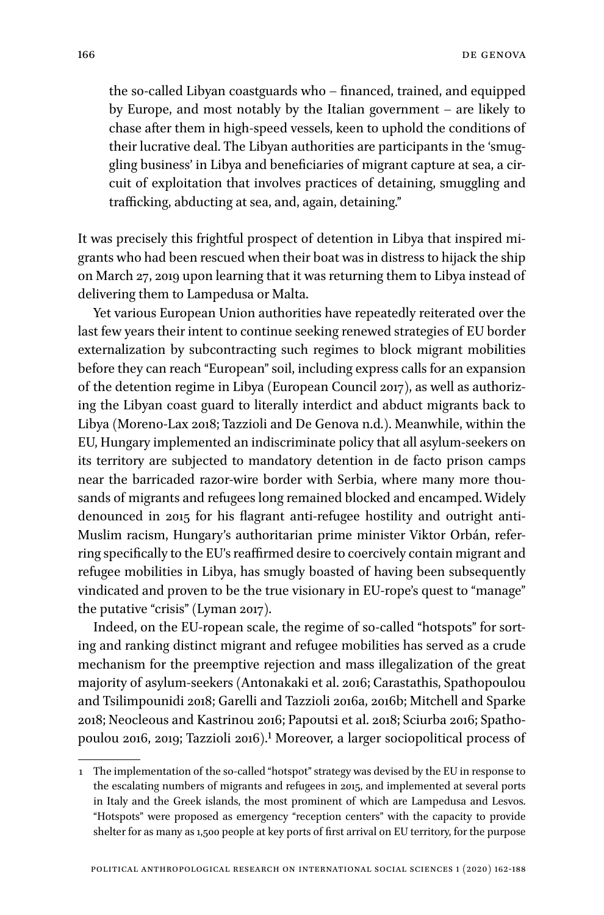the so-called Libyan coastguards who – financed, trained, and equipped by Europe, and most notably by the Italian government – are likely to chase after them in high-speed vessels, keen to uphold the conditions of their lucrative deal. The Libyan authorities are participants in the 'smuggling business' in Libya and beneficiaries of migrant capture at sea, a circuit of exploitation that involves practices of detaining, smuggling and trafficking, abducting at sea, and, again, detaining."

It was precisely this frightful prospect of detention in Libya that inspired migrants who had been rescued when their boat was in distress to hijack the ship on March 27, 2019 upon learning that it was returning them to Libya instead of delivering them to Lampedusa or Malta.

Yet various European Union authorities have repeatedly reiterated over the last few years their intent to continue seeking renewed strategies of EU border externalization by subcontracting such regimes to block migrant mobilities before they can reach "European" soil, including express calls for an expansion of the detention regime in Libya (European Council 2017), as well as authorizing the Libyan coast guard to literally interdict and abduct migrants back to Libya (Moreno-Lax 2018; Tazzioli and De Genova n.d.). Meanwhile, within the EU, Hungary implemented an indiscriminate policy that all asylum-seekers on its territory are subjected to mandatory detention in de facto prison camps near the barricaded razor-wire border with Serbia, where many more thousands of migrants and refugees long remained blocked and encamped. Widely denounced in 2015 for his flagrant anti-refugee hostility and outright anti-Muslim racism, Hungary's authoritarian prime minister Viktor Orbán, referring specifically to the EU's reaffirmed desire to coercively contain migrant and refugee mobilities in Libya, has smugly boasted of having been subsequently vindicated and proven to be the true visionary in EU-rope's quest to "manage" the putative "crisis" (Lyman 2017).

Indeed, on the EU-ropean scale, the regime of so-called "hotspots" for sorting and ranking distinct migrant and refugee mobilities has served as a crude mechanism for the preemptive rejection and mass illegalization of the great majority of asylum-seekers ([Antonakaki et al. 2016](#page-16-1); Carastathis, Spathopoulou and Tsilimpounidi 2018; [Garelli and Tazzioli 2016a, 2016b;](#page-19-3) [Mitchell and Sparke](#page-21-1)  [2018;](#page-21-1) [Neocleous and Kastrinou 2016](#page-21-3); [Papoutsi et al. 2018;](#page-22-3) [Sciurba 2016](#page-23-2); Spathopoulou 2016, 2019; Tazzioli 2016).[1](#page-4-0) Moreover, a larger sociopolitical process of

<span id="page-4-0"></span><sup>1</sup> The implementation of the so-called "hotspot" strategy was devised by the EU in response to the escalating numbers of migrants and refugees in 2015, and implemented at several ports in Italy and the Greek islands, the most prominent of which are Lampedusa and Lesvos. "Hotspots" were proposed as emergency "reception centers" with the capacity to provide shelter for as many as 1,500 people at key ports of first arrival on EU territory, for the purpose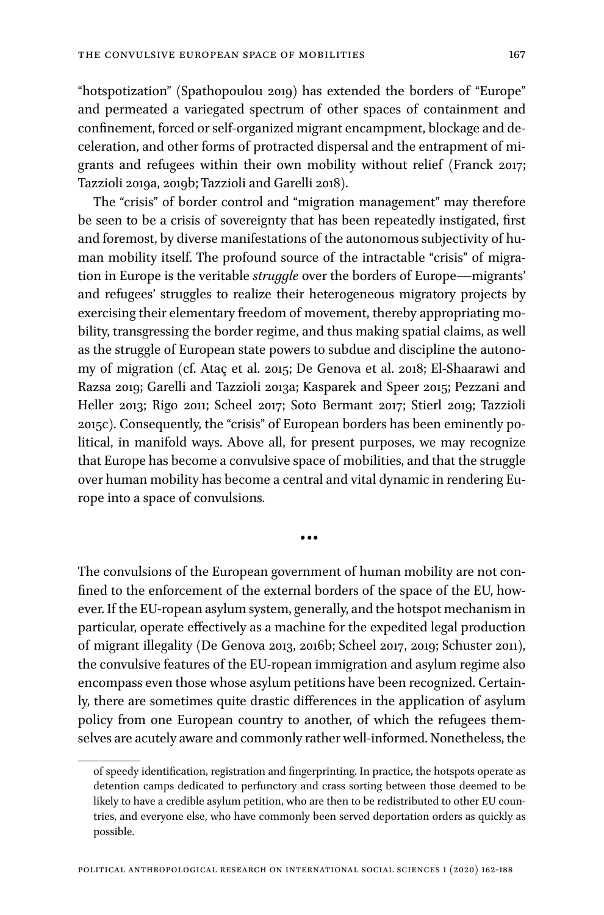"hotspotization" (Spathopoulou 2019) has extended the borders of "Europe" and permeated a variegated spectrum of other spaces of containment and confinement, forced or self-organized migrant encampment, blockage and deceleration, and other forms of protracted dispersal and the entrapment of migrants and refugees within their own mobility without relief (Franck 2017; Tazzioli 2019a, 2019b; Tazzioli and Garelli 2018).

The "crisis" of border control and "migration management" may therefore be seen to be a crisis of sovereignty that has been repeatedly instigated, first and foremost, by diverse manifestations of the autonomous subjectivity of human mobility itself. The profound source of the intractable "crisis" of migration in Europe is the veritable *struggle* over the borders of Europe—migrants' and refugees' struggles to realize their heterogeneous migratory projects by exercising their elementary freedom of movement, thereby appropriating mobility, transgressing the border regime, and thus making spatial claims, as well as the struggle of European state powers to subdue and discipline the autonomy of migration (cf. [Ataç et al. 2015](#page-16-2); De [Genova et al. 2018](#page-18-4); [El-Shaarawi and](#page-18-2)  [Razsa 2019;](#page-18-2) [Garelli and Tazzioli 2013a](#page-19-1); [Kasparek and Speer 2015;](#page-20-3) [Pezzani and](#page-22-4)  [Heller 2013](#page-22-4); [Rigo 2011;](#page-23-3) [Scheel 2017](#page-23-0); Soto Bermant 2017; [Stierl 2019;](#page-24-1) [Tazzioli](#page-24-2)  [2015c\)](#page-24-2). Consequently, the "crisis" of European borders has been eminently political, in manifold ways. Above all, for present purposes, we may recognize that Europe has become a convulsive space of mobilities, and that the struggle over human mobility has become a central and vital dynamic in rendering Europe into a space of convulsions.

The convulsions of the European government of human mobility are not confined to the enforcement of the external borders of the space of the EU, however. If the EU-ropean asylum system, generally, and the hotspot mechanism in particular, operate effectively as a machine for the expedited legal production of migrant illegality [\(De Genova 2013, 2016b;](#page-18-5) [Scheel 2017, 2019](#page-23-0); [Schuster 2011\)](#page-23-4), the convulsive features of the EU-ropean immigration and asylum regime also encompass even those whose asylum petitions have been recognized. Certainly, there are sometimes quite drastic differences in the application of asylum policy from one European country to another, of which the refugees themselves are acutely aware and commonly rather well-informed. Nonetheless, the

...

of speedy identification, registration and fingerprinting. In practice, the hotspots operate as detention camps dedicated to perfunctory and crass sorting between those deemed to be likely to have a credible asylum petition, who are then to be redistributed to other EU countries, and everyone else, who have commonly been served deportation orders as quickly as possible.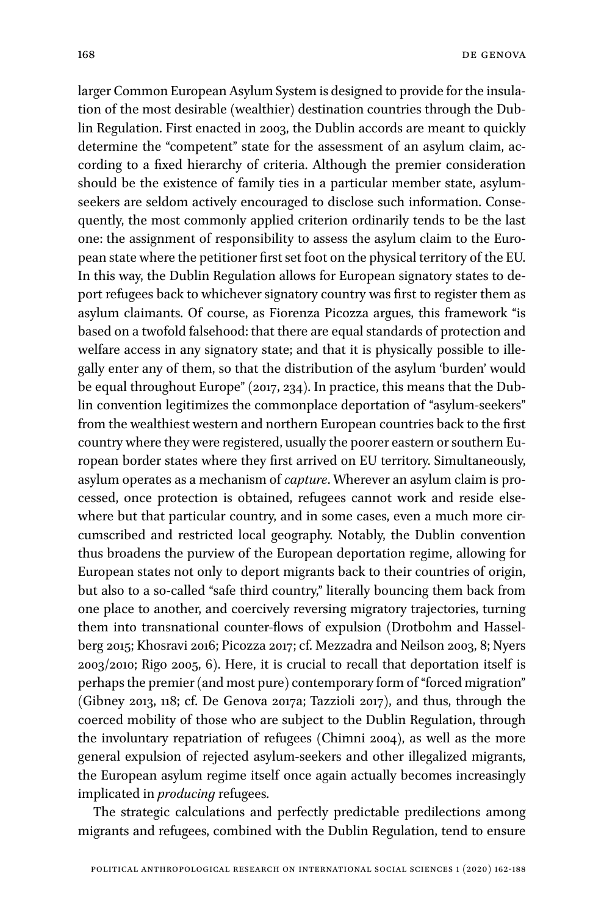larger Common European Asylum System is designed to provide for the insulation of the most desirable (wealthier) destination countries through the Dublin Regulation. First enacted in 2003, the Dublin accords are meant to quickly determine the "competent" state for the assessment of an asylum claim, according to a fixed hierarchy of criteria. Although the premier consideration should be the existence of family ties in a particular member state, asylumseekers are seldom actively encouraged to disclose such information. Consequently, the most commonly applied criterion ordinarily tends to be the last one: the assignment of responsibility to assess the asylum claim to the European state where the petitioner first set foot on the physical territory of the EU. In this way, the Dublin Regulation allows for European signatory states to deport refugees back to whichever signatory country was first to register them as asylum claimants. Of course, as Fiorenza Picozza argues, this framework "is based on a twofold falsehood: that there are equal standards of protection and welfare access in any signatory state; and that it is physically possible to illegally enter any of them, so that the distribution of the asylum 'burden' would be equal throughout Europe" (2017, 234). In practice, this means that the Dublin convention legitimizes the commonplace deportation of "asylum-seekers" from the wealthiest western and northern European countries back to the first country where they were registered, usually the poorer eastern or southern European border states where they first arrived on EU territory. Simultaneously, asylum operates as a mechanism of *capture*. Wherever an asylum claim is processed, once protection is obtained, refugees cannot work and reside elsewhere but that particular country, and in some cases, even a much more circumscribed and restricted local geography. Notably, the Dublin convention thus broadens the purview of the European deportation regime, allowing for European states not only to deport migrants back to their countries of origin, but also to a so-called "safe third country," literally bouncing them back from one place to another, and coercively reversing migratory trajectories, turning them into transnational counter-flows of expulsion ([Drotbohm and Hassel](#page-18-6)[berg 2015](#page-18-6); [Khosravi 2016;](#page-20-7) [Picozza 2017](#page-22-5); cf. [Mezzadra and Neilson 2003](#page-21-4), 8; [Nyers](#page-21-5)  [2003/2010;](#page-21-5) [Rigo 2005](#page-22-6), 6). Here, it is crucial to recall that deportation itself is perhaps the premier (and most pure) contemporary form of "forced migration" [\(Gibney 2013,](#page-19-4) 118; cf. [De Genova 2017a](#page-18-7); [Tazzioli 2017](#page-24-3)), and thus, through the coerced mobility of those who are subject to the Dublin Regulation, through the involuntary repatriation of refugees (Chimni 2004), as well as the more general expulsion of rejected asylum-seekers and other illegalized migrants, the European asylum regime itself once again actually becomes increasingly implicated in *producing* refugees.

The strategic calculations and perfectly predictable predilections among migrants and refugees, combined with the Dublin Regulation, tend to ensure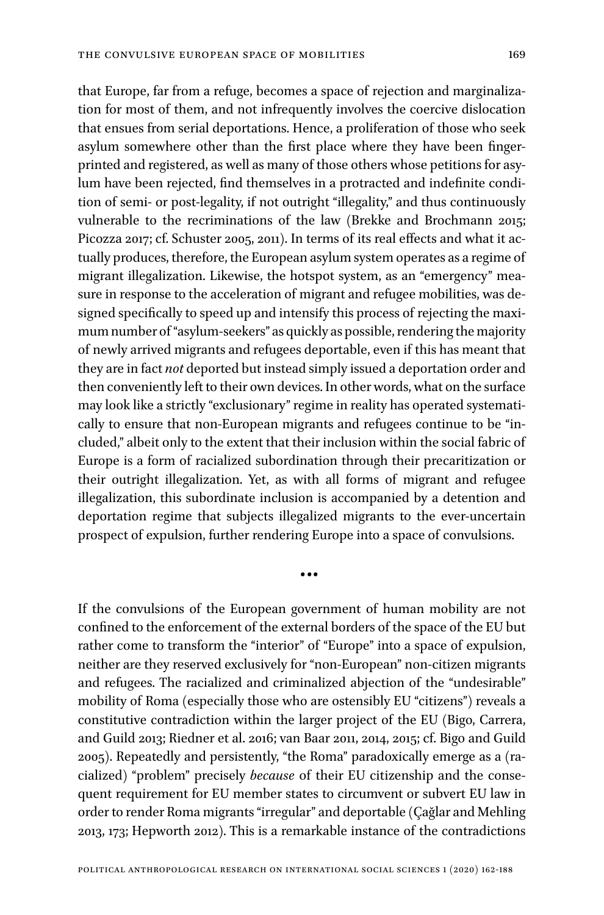that Europe, far from a refuge, becomes a space of rejection and marginalization for most of them, and not infrequently involves the coercive dislocation that ensues from serial deportations. Hence, a proliferation of those who seek asylum somewhere other than the first place where they have been fingerprinted and registered, as well as many of those others whose petitions for asylum have been rejected, find themselves in a protracted and indefinite condition of semi- or post-legality, if not outright "illegality," and thus continuously vulnerable to the recriminations of the law ([Brekke and Brochmann 2015](#page-17-0); [Picozza 2017;](#page-22-5) cf. [Schuster 2005, 2011\)](#page-23-5). In terms of its real effects and what it actually produces, therefore, the European asylum system operates as a regime of migrant illegalization. Likewise, the hotspot system, as an "emergency" measure in response to the acceleration of migrant and refugee mobilities, was designed specifically to speed up and intensify this process of rejecting the maximum number of "asylum-seekers" as quickly as possible, rendering the majority of newly arrived migrants and refugees deportable, even if this has meant that they are in fact *not* deported but instead simply issued a deportation order and then conveniently left to their own devices. In other words, what on the surface may look like a strictly "exclusionary" regime in reality has operated systematically to ensure that non-European migrants and refugees continue to be "included," albeit only to the extent that their inclusion within the social fabric of Europe is a form of racialized subordination through their precaritization or their outright illegalization. Yet, as with all forms of migrant and refugee illegalization, this subordinate inclusion is accompanied by a detention and deportation regime that subjects illegalized migrants to the ever-uncertain prospect of expulsion, further rendering Europe into a space of convulsions.

If the convulsions of the European government of human mobility are not confined to the enforcement of the external borders of the space of the EU but rather come to transform the "interior" of "Europe" into a space of expulsion, neither are they reserved exclusively for "non-European" non-citizen migrants and refugees. The racialized and criminalized abjection of the "undesirable" mobility of Roma (especially those who are ostensibly EU "citizens") reveals a constitutive contradiction within the larger project of the EU (Bigo, Carrera, and Guild 2013; [Riedner et al. 2016](#page-22-7); [van Baar 2011, 2014, 2015](#page-25-4); cf. [Bigo and Guild](#page-17-1)  [2005](#page-17-1)). Repeatedly and persistently, "the Roma" paradoxically emerge as a (racialized) "problem" precisely *because* of their EU citizenship and the consequent requirement for EU member states to circumvent or subvert EU law in order to render Roma migrants "irregular" and deportable ([Çağlar and Mehling](#page-17-2)  [2013](#page-17-2), 173; [Hepworth 2012\)](#page-20-8). This is a remarkable instance of the contradictions

...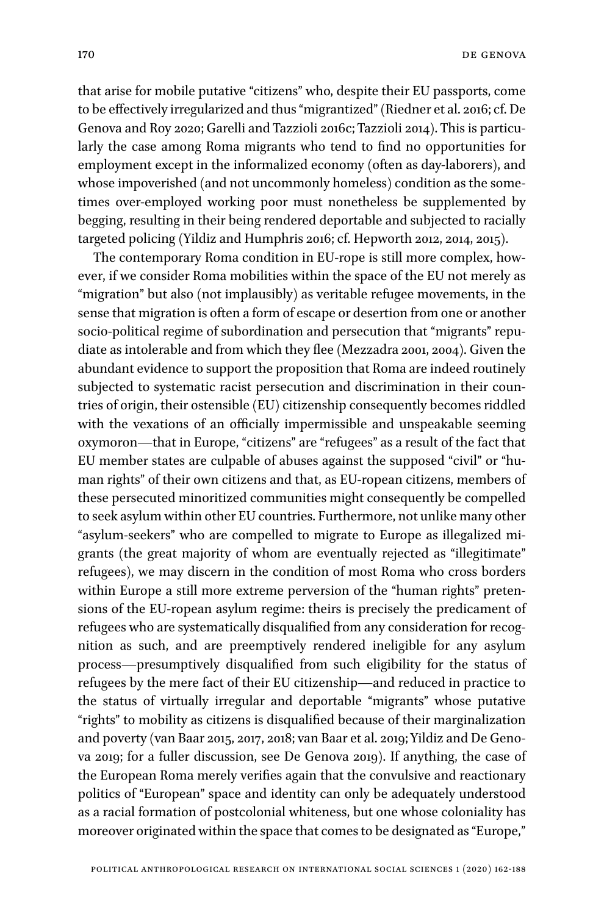that arise for mobile putative "citizens" who, despite their EU passports, come to be effectively irregularized and thus "migrantized" ([Riedner et al. 2016](#page-22-7); cf. [De](#page-18-8)  [Genova and Roy 2020](#page-18-8); [Garelli and Tazzioli 2016c](#page-19-5); [Tazzioli 2014\)](#page-24-0). This is particularly the case among Roma migrants who tend to find no opportunities for employment except in the informalized economy (often as day-laborers), and whose impoverished (and not uncommonly homeless) condition as the sometimes over-employed working poor must nonetheless be supplemented by begging, resulting in their being rendered deportable and subjected to racially targeted policing ([Yildiz and Humphris 2016](#page-26-0); cf. [Hepworth 2012, 2014, 2015](#page-20-8)).

The contemporary Roma condition in EU-rope is still more complex, however, if we consider Roma mobilities within the space of the EU not merely as "migration" but also (not implausibly) as veritable refugee movements, in the sense that migration is often a form of escape or desertion from one or another socio-political regime of subordination and persecution that "migrants" repudiate as intolerable and from which they flee ([Mezzadra 2001, 2004](#page-21-6)). Given the abundant evidence to support the proposition that Roma are indeed routinely subjected to systematic racist persecution and discrimination in their countries of origin, their ostensible (EU) citizenship consequently becomes riddled with the vexations of an officially impermissible and unspeakable seeming oxymoron—that in Europe, "citizens" are "refugees" as a result of the fact that EU member states are culpable of abuses against the supposed "civil" or "human rights" of their own citizens and that, as EU-ropean citizens, members of these persecuted minoritized communities might consequently be compelled to seek asylum within other EU countries. Furthermore, not unlike many other "asylum-seekers" who are compelled to migrate to Europe as illegalized migrants (the great majority of whom are eventually rejected as "illegitimate" refugees), we may discern in the condition of most Roma who cross borders within Europe a still more extreme perversion of the "human rights" pretensions of the EU-ropean asylum regime: theirs is precisely the predicament of refugees who are systematically disqualified from any consideration for recognition as such, and are preemptively rendered ineligible for any asylum process—presumptively disqualified from such eligibility for the status of refugees by the mere fact of their EU citizenship—and reduced in practice to the status of virtually irregular and deportable "migrants" whose putative "rights" to mobility as citizens is disqualified because of their marginalization and poverty ([van Baar 2015, 2017, 2018](#page-25-5); [van Baar et al. 2019;](#page-25-6) Yildiz and [De Geno](#page-18-9)[va 2019](#page-18-9); for a fuller discussion, see [De Genova 2019](#page-18-9)). If anything, the case of the European Roma merely verifies again that the convulsive and reactionary politics of "European" space and identity can only be adequately understood as a racial formation of postcolonial whiteness, but one whose coloniality has moreover originated within the space that comes to be designated as "Europe,"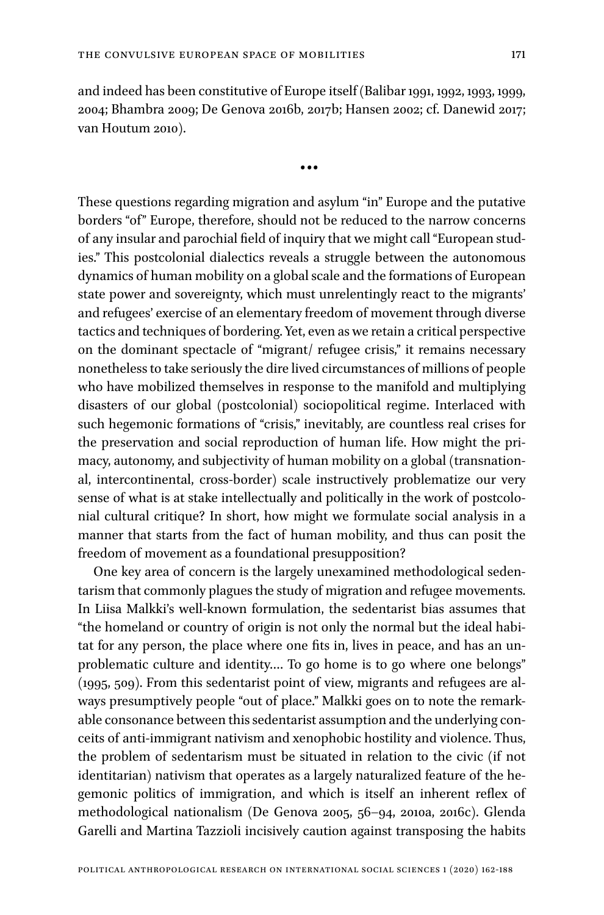and indeed has been constitutive of Europe itself [\(Balibar 1991,](#page-16-3) 1992, 1993, 1999, 2004; [Bhambra 2009](#page-17-3); [De Genova 2016b, 2017b;](#page-18-3) [Hansen 2002;](#page-19-6) cf. [Danewid 2017](#page-17-4); [van Houtum 2010\)](#page-25-7).

...

These questions regarding migration and asylum "in" Europe and the putative borders "of" Europe, therefore, should not be reduced to the narrow concerns of any insular and parochial field of inquiry that we might call "European studies." This postcolonial dialectics reveals a struggle between the autonomous dynamics of human mobility on a global scale and the formations of European state power and sovereignty, which must unrelentingly react to the migrants' and refugees' exercise of an elementary freedom of movement through diverse tactics and techniques of bordering. Yet, even as we retain a critical perspective on the dominant spectacle of "migrant/ refugee crisis," it remains necessary nonetheless to take seriously the dire lived circumstances of millions of people who have mobilized themselves in response to the manifold and multiplying disasters of our global (postcolonial) sociopolitical regime. Interlaced with such hegemonic formations of "crisis," inevitably, are countless real crises for the preservation and social reproduction of human life. How might the primacy, autonomy, and subjectivity of human mobility on a global (transnational, intercontinental, cross-border) scale instructively problematize our very sense of what is at stake intellectually and politically in the work of postcolonial cultural critique? In short, how might we formulate social analysis in a manner that starts from the fact of human mobility, and thus can posit the freedom of movement as a foundational presupposition?

One key area of concern is the largely unexamined methodological sedentarism that commonly plagues the study of migration and refugee movements. In Liisa Malkki's well-known formulation, the sedentarist bias assumes that "the homeland or country of origin is not only the normal but the ideal habitat for any person, the place where one fits in, lives in peace, and has an unproblematic culture and identity…. To go home is to go where one belongs" (1995, 509). From this sedentarist point of view, migrants and refugees are always presumptively people "out of place." Malkki goes on to note the remarkable consonance between this sedentarist assumption and the underlying conceits of anti-immigrant nativism and xenophobic hostility and violence. Thus, the problem of sedentarism must be situated in relation to the civic (if not identitarian) nativism that operates as a largely naturalized feature of the hegemonic politics of immigration, and which is itself an inherent reflex of methodological nationalism ([De Genova 2005](#page-17-5), 56–94, 2010a, 2016c). Glenda Garelli and Martina Tazzioli incisively caution against transposing the habits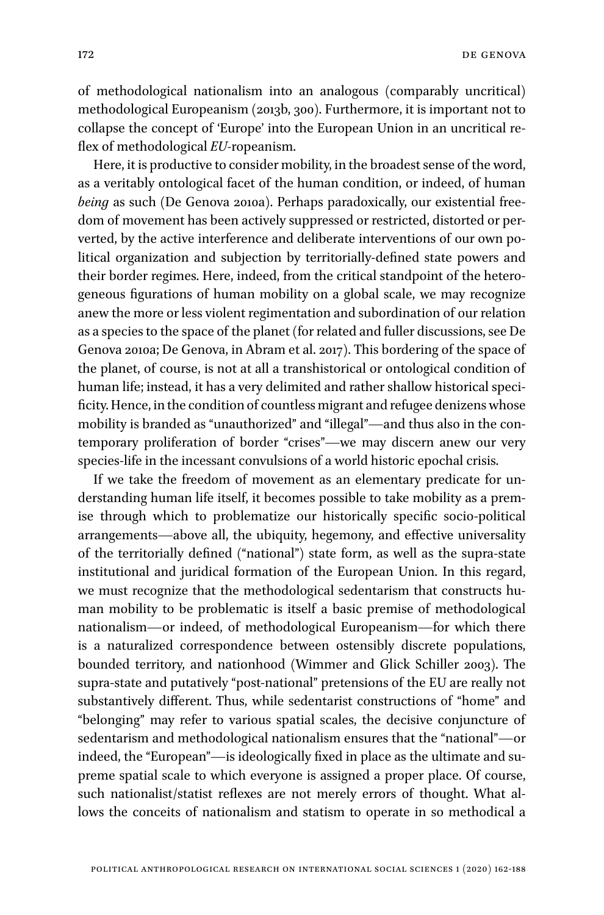De Genova

of methodological nationalism into an analogous (comparably uncritical) methodological Europeanism (2013b, 300). Furthermore, it is important not to collapse the concept of 'Europe' into the European Union in an uncritical reflex of methodological *EU-*ropeanism.

Here, it is productive to consider mobility, in the broadest sense of the word, as a veritably ontological facet of the human condition, or indeed, of human *being* as such (De Genova 2010a). Perhaps paradoxically, our existential freedom of movement has been actively suppressed or restricted, distorted or perverted, by the active interference and deliberate interventions of our own political organization and subjection by territorially-defined state powers and their border regimes. Here, indeed, from the critical standpoint of the heterogeneous figurations of human mobility on a global scale, we may recognize anew the more or less violent regimentation and subordination of our relation as a species to the space of the planet (for related and fuller discussions, see De Genova 2010a; De Genova, in Abram et al. 2017). This bordering of the space of the planet, of course, is not at all a transhistorical or ontological condition of human life; instead, it has a very delimited and rather shallow historical specificity. Hence, in the condition of countless migrant and refugee denizens whose mobility is branded as "unauthorized" and "illegal"—and thus also in the contemporary proliferation of border "crises"—we may discern anew our very species-life in the incessant convulsions of a world historic epochal crisis.

If we take the freedom of movement as an elementary predicate for understanding human life itself, it becomes possible to take mobility as a premise through which to problematize our historically specific socio-political arrangements—above all, the ubiquity, hegemony, and effective universality of the territorially defined ("national") state form, as well as the supra-state institutional and juridical formation of the European Union. In this regard, we must recognize that the methodological sedentarism that constructs human mobility to be problematic is itself a basic premise of methodological nationalism—or indeed, of methodological Europeanism—for which there is a naturalized correspondence between ostensibly discrete populations, bounded territory, and nationhood (Wimmer and Glick Schiller 2003). The supra-state and putatively "post-national" pretensions of the EU are really not substantively different. Thus, while sedentarist constructions of "home" and "belonging" may refer to various spatial scales, the decisive conjuncture of sedentarism and methodological nationalism ensures that the "national"—or indeed, the "European"—is ideologically fixed in place as the ultimate and supreme spatial scale to which everyone is assigned a proper place. Of course, such nationalist/statist reflexes are not merely errors of thought. What allows the conceits of nationalism and statism to operate in so methodical a

172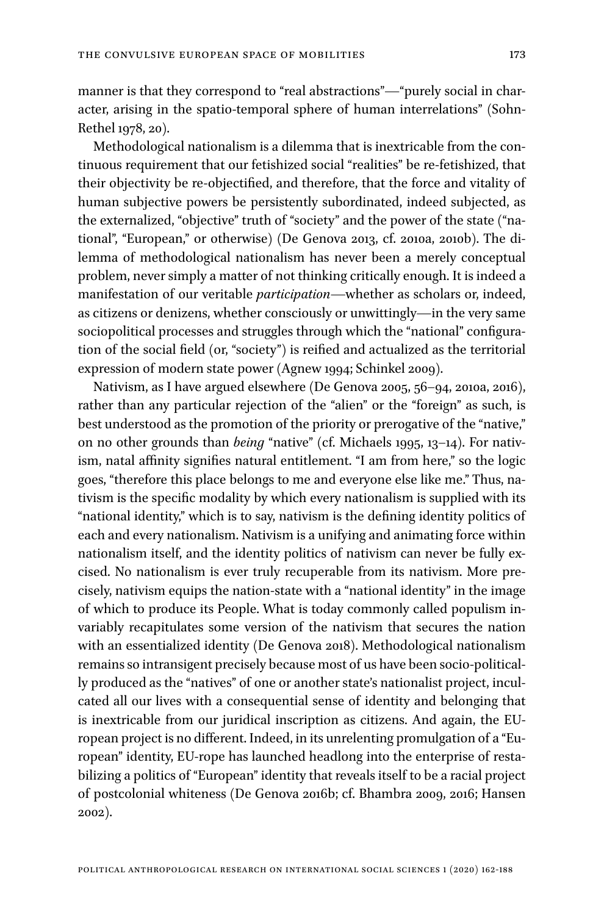manner is that they correspond to "real abstractions"—"purely social in character, arising in the spatio-temporal sphere of human interrelations" (Sohn-Rethel 1978, 20).

Methodological nationalism is a dilemma that is inextricable from the continuous requirement that our fetishized social "realities" be re-fetishized, that their objectivity be re-objectified, and therefore, that the force and vitality of human subjective powers be persistently subordinated, indeed subjected, as the externalized, "objective" truth of "society" and the power of the state ("national", "European," or otherwise) [\(De Genova 2013](#page-18-5), cf. 2010a, 2010b). The dilemma of methodological nationalism has never been a merely conceptual problem, never simply a matter of not thinking critically enough. It is indeed a manifestation of our veritable *participation*—whether as scholars or, indeed, as citizens or denizens, whether consciously or unwittingly—in the very same sociopolitical processes and struggles through which the "national" configuration of the social field (or, "society") is reified and actualized as the territorial expression of modern state power ([Agnew 1994;](#page-16-4) [Schinkel 2009\)](#page-23-6).

Nativism, as I have argued elsewhere (De Genova 2005, 56–94, 2010a, 2016), rather than any particular rejection of the "alien" or the "foreign" as such, is best understood as the promotion of the priority or prerogative of the "native," on no other grounds than *being* "native" (cf. Michaels 1995, 13–14). For nativism, natal affinity signifies natural entitlement. "I am from here," so the logic goes, "therefore this place belongs to me and everyone else like me." Thus, nativism is the specific modality by which every nationalism is supplied with its "national identity," which is to say, nativism is the defining identity politics of each and every nationalism. Nativism is a unifying and animating force within nationalism itself, and the identity politics of nativism can never be fully excised. No nationalism is ever truly recuperable from its nativism. More precisely, nativism equips the nation-state with a "national identity" in the image of which to produce its People. What is today commonly called populism invariably recapitulates some version of the nativism that secures the nation with an essentialized identity (De Genova 2018). Methodological nationalism remains so intransigent precisely because most of us have been socio-politically produced as the "natives" of one or another state's nationalist project, inculcated all our lives with a consequential sense of identity and belonging that is inextricable from our juridical inscription as citizens. And again, the EUropean project is no different. Indeed, in its unrelenting promulgation of a "European" identity, EU-rope has launched headlong into the enterprise of restabilizing a politics of "European" identity that reveals itself to be a racial project of postcolonial whiteness (De Genova 2016b; cf. Bhambra 2009, 2016; Hansen 2002).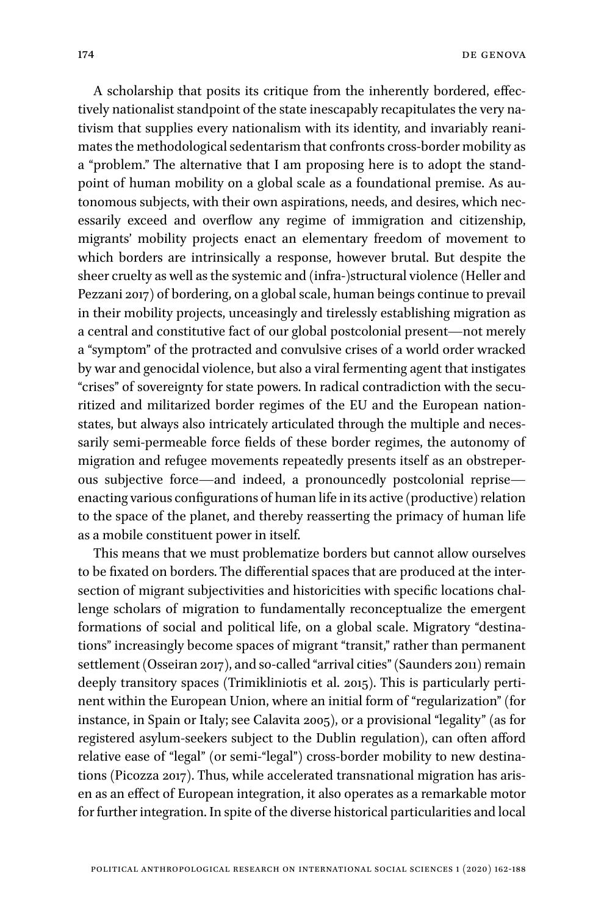A scholarship that posits its critique from the inherently bordered, effectively nationalist standpoint of the state inescapably recapitulates the very nativism that supplies every nationalism with its identity, and invariably reanimates the methodological sedentarism that confronts cross-border mobility as a "problem." The alternative that I am proposing here is to adopt the standpoint of human mobility on a global scale as a foundational premise. As autonomous subjects, with their own aspirations, needs, and desires, which necessarily exceed and overflow any regime of immigration and citizenship, migrants' mobility projects enact an elementary freedom of movement to which borders are intrinsically a response, however brutal. But despite the sheer cruelty as well as the systemic and (infra-)structural violence (Heller and Pezzani 2017) of bordering, on a global scale, human beings continue to prevail in their mobility projects, unceasingly and tirelessly establishing migration as a central and constitutive fact of our global postcolonial present—not merely a "symptom" of the protracted and convulsive crises of a world order wracked by war and genocidal violence, but also a viral fermenting agent that instigates "crises" of sovereignty for state powers. In radical contradiction with the securitized and militarized border regimes of the EU and the European nationstates, but always also intricately articulated through the multiple and necessarily semi-permeable force fields of these border regimes, the autonomy of migration and refugee movements repeatedly presents itself as an obstreperous subjective force—and indeed, a pronouncedly postcolonial reprise enacting various configurations of human life in its active (productive) relation to the space of the planet, and thereby reasserting the primacy of human life as a mobile constituent power in itself.

This means that we must problematize borders but cannot allow ourselves to be fixated on borders. The differential spaces that are produced at the intersection of migrant subjectivities and historicities with specific locations challenge scholars of migration to fundamentally reconceptualize the emergent formations of social and political life, on a global scale. Migratory "destinations" increasingly become spaces of migrant "transit," rather than permanent settlement (Osseiran 2017), and so-called "arrival cities" (Saunders 2011) remain deeply transitory spaces (Trimikliniotis et al. 2015). This is particularly pertinent within the European Union, where an initial form of "regularization" (for instance, in Spain or Italy; see Calavita 2005), or a provisional "legality" (as for registered asylum-seekers subject to the Dublin regulation), can often afford relative ease of "legal" (or semi-"legal") cross-border mobility to new destinations (Picozza 2017). Thus, while accelerated transnational migration has arisen as an effect of European integration, it also operates as a remarkable motor for further integration. In spite of the diverse historical particularities and local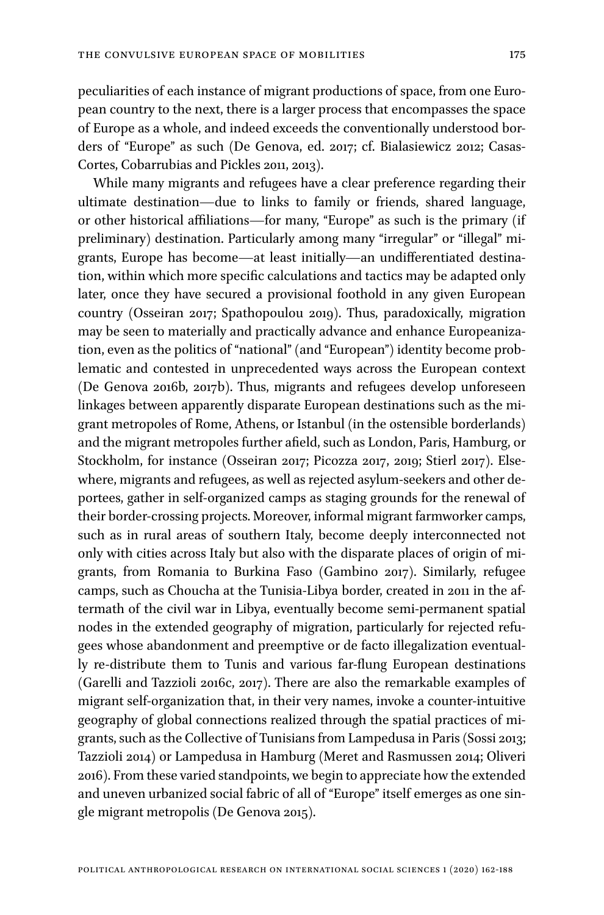peculiarities of each instance of migrant productions of space, from one European country to the next, there is a larger process that encompasses the space of Europe as a whole, and indeed exceeds the conventionally understood borders of "Europe" as such (De Genova, ed. 2017; cf. [Bialasiewicz 2012;](#page-17-6) Casas-Cortes, Cobarrubias and Pickles 2011, 2013).

While many migrants and refugees have a clear preference regarding their ultimate destination—due to links to family or friends, shared language, or other historical affiliations—for many, "Europe" as such is the primary (if preliminary) destination. Particularly among many "irregular" or "illegal" migrants, Europe has become—at least initially—an undifferentiated destination, within which more specific calculations and tactics may be adapted only later, once they have secured a provisional foothold in any given European country (Osseiran 2017; Spathopoulou 2019). Thus, paradoxically, migration may be seen to materially and practically advance and enhance Europeanization, even as the politics of "national" (and "European") identity become problematic and contested in unprecedented ways across the European context (De Genova 2016b, 2017b). Thus, migrants and refugees develop unforeseen linkages between apparently disparate European destinations such as the migrant metropoles of Rome, Athens, or Istanbul (in the ostensible borderlands) and the migrant metropoles further afield, such as London, Paris, Hamburg, or Stockholm, for instance (Osseiran 2017; Picozza 2017, 2019; Stierl 2017). Elsewhere, migrants and refugees, as well as rejected asylum-seekers and other deportees, gather in self-organized camps as staging grounds for the renewal of their border-crossing projects. Moreover, informal migrant farmworker camps, such as in rural areas of southern Italy, become deeply interconnected not only with cities across Italy but also with the disparate places of origin of migrants, from Romania to Burkina Faso (Gambino 2017). Similarly, refugee camps, such as Choucha at the Tunisia-Libya border, created in 2011 in the aftermath of the civil war in Libya, eventually become semi-permanent spatial nodes in the extended geography of migration, particularly for rejected refugees whose abandonment and preemptive or de facto illegalization eventually re-distribute them to Tunis and various far-flung European destinations (Garelli and Tazzioli 2016c, 2017). There are also the remarkable examples of migrant self-organization that, in their very names, invoke a counter-intuitive geography of global connections realized through the spatial practices of migrants, such as the Collective of Tunisians from Lampedusa in Paris (Sossi 2013; Tazzioli 2014) or Lampedusa in Hamburg (Meret and Rasmussen 2014; Oliveri 2016). From these varied standpoints, we begin to appreciate how the extended and uneven urbanized social fabric of all of "Europe" itself emerges as one single migrant metropolis (De Genova 2015).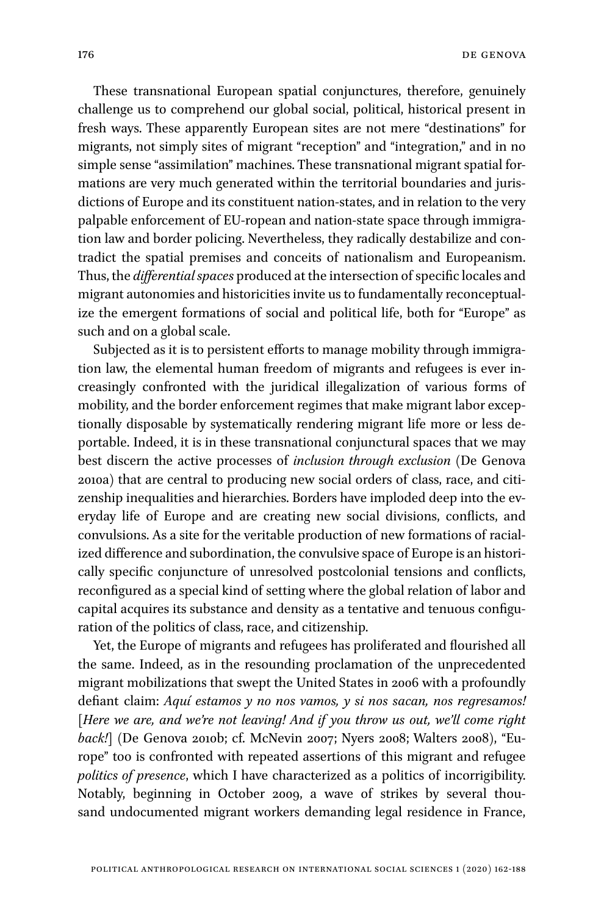De Genova

These transnational European spatial conjunctures, therefore, genuinely challenge us to comprehend our global social, political, historical present in fresh ways. These apparently European sites are not mere "destinations" for migrants, not simply sites of migrant "reception" and "integration," and in no simple sense "assimilation" machines. These transnational migrant spatial formations are very much generated within the territorial boundaries and jurisdictions of Europe and its constituent nation-states, and in relation to the very palpable enforcement of EU-ropean and nation-state space through immigration law and border policing. Nevertheless, they radically destabilize and contradict the spatial premises and conceits of nationalism and Europeanism. Thus, the *differential spaces* produced at the intersection of specific locales and migrant autonomies and historicities invite us to fundamentally reconceptualize the emergent formations of social and political life, both for "Europe" as such and on a global scale.

Subjected as it is to persistent efforts to manage mobility through immigration law, the elemental human freedom of migrants and refugees is ever increasingly confronted with the juridical illegalization of various forms of mobility, and the border enforcement regimes that make migrant labor exceptionally disposable by systematically rendering migrant life more or less deportable. Indeed, it is in these transnational conjunctural spaces that we may best discern the active processes of *inclusion through exclusion* (De Genova 2010a) that are central to producing new social orders of class, race, and citizenship inequalities and hierarchies. Borders have imploded deep into the everyday life of Europe and are creating new social divisions, conflicts, and convulsions. As a site for the veritable production of new formations of racialized difference and subordination, the convulsive space of Europe is an historically specific conjuncture of unresolved postcolonial tensions and conflicts, reconfigured as a special kind of setting where the global relation of labor and capital acquires its substance and density as a tentative and tenuous configuration of the politics of class, race, and citizenship.

Yet, the Europe of migrants and refugees has proliferated and flourished all the same. Indeed, as in the resounding proclamation of the unprecedented migrant mobilizations that swept the United States in 2006 with a profoundly defiant claim: *Aquí estamos y no nos vamos, y si nos sacan, nos regresamos!* [*Here we are, and we're not leaving! And if you throw us out, we'll come right back!*] (De Genova 2010b; cf. McNevin 2007; Nyers 2008; Walters 2008), "Europe" too is confronted with repeated assertions of this migrant and refugee *politics of presence*, which I have characterized as a politics of incorrigibility. Notably, beginning in October 2009, a wave of strikes by several thousand undocumented migrant workers demanding legal residence in France,

176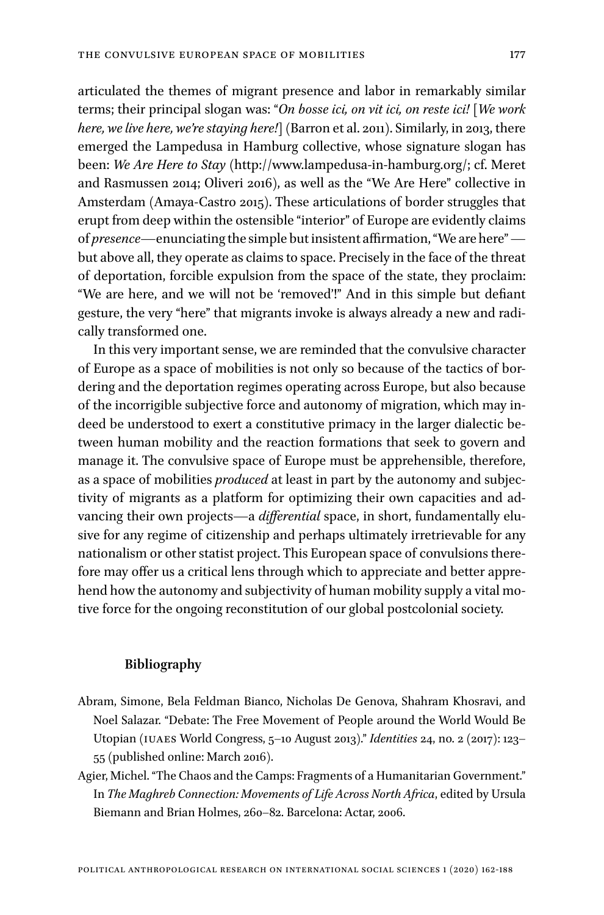articulated the themes of migrant presence and labor in remarkably similar terms; their principal slogan was: "*On bosse ici, on vit ici, on reste ici!* [*We work here, we live here, we're staying here!*] (Barron et al. 2011). Similarly, in 2013, there emerged the Lampedusa in Hamburg collective, whose signature slogan has been: *We Are Here to Stay* (<http://www.lampedusa-in-hamburg.org/;> cf. [Meret](#page-21-7)  [and Rasmussen 2014;](#page-21-7) [Oliveri 2016](#page-21-8)), as well as the "We Are Here" collective in Amsterdam [\(Amaya-Castro 2015](#page-16-5)). These articulations of border struggles that erupt from deep within the ostensible "interior" of Europe are evidently claims of *presence*—enunciating the simple but insistent affirmation, "We are here" but above all, they operate as claims to space. Precisely in the face of the threat of deportation, forcible expulsion from the space of the state, they proclaim: "We are here, and we will not be 'removed'!" And in this simple but defiant gesture, the very "here" that migrants invoke is always already a new and radically transformed one.

In this very important sense, we are reminded that the convulsive character of Europe as a space of mobilities is not only so because of the tactics of bordering and the deportation regimes operating across Europe, but also because of the incorrigible subjective force and autonomy of migration, which may indeed be understood to exert a constitutive primacy in the larger dialectic between human mobility and the reaction formations that seek to govern and manage it. The convulsive space of Europe must be apprehensible, therefore, as a space of mobilities *produced* at least in part by the autonomy and subjectivity of migrants as a platform for optimizing their own capacities and advancing their own projects—a *differential* space, in short, fundamentally elusive for any regime of citizenship and perhaps ultimately irretrievable for any nationalism or other statist project. This European space of convulsions therefore may offer us a critical lens through which to appreciate and better apprehend how the autonomy and subjectivity of human mobility supply a vital motive force for the ongoing reconstitution of our global postcolonial society.

## **Bibliography**

- Abram, Simone, Bela Feldman Bianco, Nicholas De Genova, Shahram Khosravi, and Noel Salazar. "Debate: The Free Movement of People around the World Would Be Utopian (iuaes World Congress, 5–10 August 2013)." *Identities* 24, no. 2 (2017): 123– 55 (published online: March 2016).
- <span id="page-15-0"></span>Agier, Michel. "The Chaos and the Camps: Fragments of a Humanitarian Government." In *The Maghreb Connection: Movements of Life Across North Africa*, edited by Ursula Biemann and Brian Holmes, 260–82. Barcelona: Actar, 2006.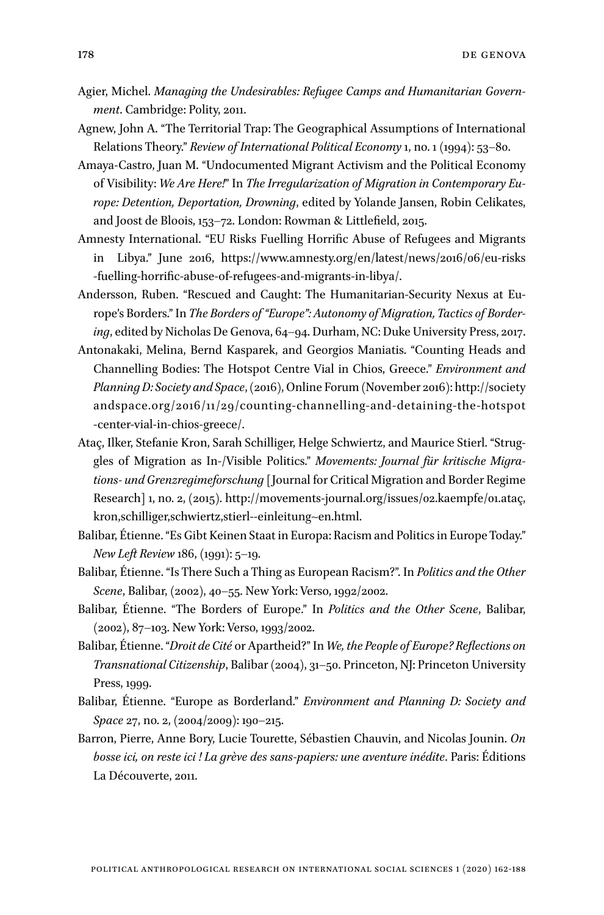- Agier, Michel. *Managing the Undesirables: Refugee Camps and Humanitarian Government*. Cambridge: Polity, 2011.
- <span id="page-16-4"></span>Agnew, John A. "The Territorial Trap: The Geographical Assumptions of International Relations Theory." *Review of International Political Economy* 1, no. 1 (1994): 53–80.
- <span id="page-16-5"></span>Amaya-Castro, Juan M. "Undocumented Migrant Activism and the Political Economy of Visibility: *We Are Here!*" In *The Irregularization of Migration in Contemporary Europe: Detention, Deportation, Drowning*, edited by Yolande Jansen, Robin Celikates, and Joost de Bloois, 153–72. London: Rowman & Littlefield, 2015.
- Amnesty International. "EU Risks Fuelling Horrific Abuse of Refugees and Migrants in Libya." June 2016, [https://www.amnesty.org/en/latest/news/2016/06/eu-risks](https://www.amnesty.org/en/latest/news/2016/06/eu-risks-fuelling-horrific-abuse-of-refugees-and-migrants-in-libya/%3e) [-fuelling-horrific-abuse-of-refugees-and-migrants-in-libya/.](https://www.amnesty.org/en/latest/news/2016/06/eu-risks-fuelling-horrific-abuse-of-refugees-and-migrants-in-libya/%3e)
- <span id="page-16-0"></span>Andersson, Ruben. "Rescued and Caught: The Humanitarian-Security Nexus at Europe's Borders." In *The Borders of "Europe": Autonomy of Migration, Tactics of Bordering*, edited by Nicholas De Genova, 64–94. Durham, NC: Duke University Press, 2017.
- <span id="page-16-1"></span>Antonakaki, Melina, Bernd Kasparek, and Georgios Maniatis. "Counting Heads and Channelling Bodies: The Hotspot Centre Vial in Chios, Greece." *Environment and Planning D: Society and Space*, (2016), Online Forum (November 2016): [http://society](http://societyandspace.org/2016/11/29/counting-channelling-and-detaining-the-hotspot-center-vial-in-chios-greece/) [andspace.org/2016/11/29/counting-channelling-and-detaining-the-hotspot](http://societyandspace.org/2016/11/29/counting-channelling-and-detaining-the-hotspot-center-vial-in-chios-greece/) [-center-vial-in-chios-greece/](http://societyandspace.org/2016/11/29/counting-channelling-and-detaining-the-hotspot-center-vial-in-chios-greece/).
- <span id="page-16-2"></span>Ataç, Ilker, Stefanie Kron, Sarah Schilliger, Helge Schwiertz, and Maurice Stierl. "Struggles of Migration as In-/Visible Politics." *Movements: Journal für kritische Migrations- und Grenzregimeforschung* [Journal for Critical Migration and Border Regime Research] 1, no. 2, (2015). [http://movements-journal.org/issues/02.kaempfe/01.ataç,](http://movements-journal.org/issues/02.kaempfe/01.ataç) kron,schilliger,schwiertz,stierl--einleitung~en.html.
- <span id="page-16-3"></span>Balibar, Étienne. "Es Gibt Keinen Staat in Europa: Racism and Politics in Europe Today." *New Left Review* 186, (1991): 5–19.
- Balibar, Étienne. "Is There Such a Thing as European Racism?". In *Politics and the Other Scene*, Balibar, (2002), 40–55. New York: Verso, 1992/2002.
- Balibar, Étienne. "The Borders of Europe." In *Politics and the Other Scene*, Balibar, (2002), 87–103. New York: Verso, 1993/2002.
- Balibar, Étienne. "*Droit de Cité* or Apartheid?" In *We, the People of Europe? Reflections on Transnational Citizenship*, Balibar (2004), 31–50. Princeton, NJ: Princeton University Press, 1999.
- Balibar, Étienne. "Europe as Borderland." *Environment and Planning D: Society and Space* 27, no. 2, (2004/2009): 190–215.
- Barron, Pierre, Anne Bory, Lucie Tourette, Sébastien Chauvin, and Nicolas Jounin. *On bosse ici, on reste ici ! La grève des sans-papiers: une aventure inédite*. Paris: Éditions La Découverte, 2011.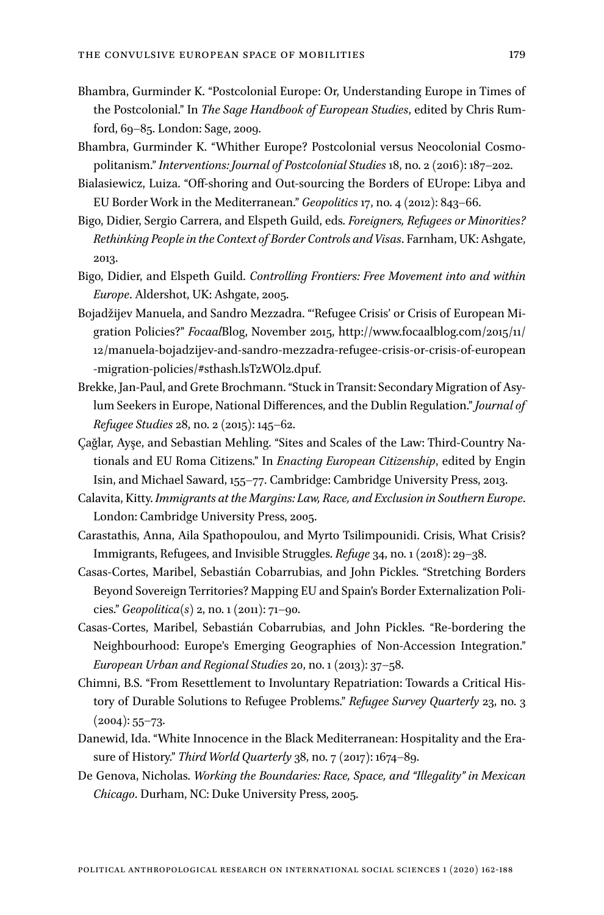- <span id="page-17-3"></span>Bhambra, Gurminder K. "Postcolonial Europe: Or, Understanding Europe in Times of the Postcolonial." In *The Sage Handbook of European Studies*, edited by Chris Rumford, 69–85. London: Sage, 2009.
- Bhambra, Gurminder K. "Whither Europe? Postcolonial versus Neocolonial Cosmopolitanism." *Interventions: Journal of Postcolonial Studies* 18, no. 2 (2016): 187–202.
- <span id="page-17-6"></span>Bialasiewicz, Luiza. "Off-shoring and Out-sourcing the Borders of EUrope: Libya and EU Border Work in the Mediterranean." *Geopolitics* 17, no. 4 (2012): 843–66.
- Bigo, Didier, Sergio Carrera, and Elspeth Guild, eds. *Foreigners, Refugees or Minorities? Rethinking People in the Context of Border Controls and Visas*. Farnham, UK: Ashgate, 2013.
- <span id="page-17-1"></span>Bigo, Didier, and Elspeth Guild. *Controlling Frontiers: Free Movement into and within Europe*. Aldershot, UK: Ashgate, 2005.
- Bojadžijev Manuela, and Sandro Mezzadra. "'Refugee Crisis' or Crisis of European Migration Policies?" *Focaal*Blog, November 2015, [http://www.focaalblog.com/2015/11/](http://www.focaalblog.com/2015/11/12/manuela-bojadzijev-and-sandro-mezzadra-refugee-crisis-or-crisis-of-european-migration-policies/#sthash.lsTzWOl2.dpuf) [12/manuela-bojadzijev-and-sandro-mezzadra-refugee-crisis-or-crisis-of-european](http://www.focaalblog.com/2015/11/12/manuela-bojadzijev-and-sandro-mezzadra-refugee-crisis-or-crisis-of-european-migration-policies/#sthash.lsTzWOl2.dpuf) [-migration-policies/#sthash.lsTzWOl2.dpuf.](http://www.focaalblog.com/2015/11/12/manuela-bojadzijev-and-sandro-mezzadra-refugee-crisis-or-crisis-of-european-migration-policies/#sthash.lsTzWOl2.dpuf)
- <span id="page-17-0"></span>Brekke, Jan-Paul, and Grete Brochmann. "Stuck in Transit: Secondary Migration of Asylum Seekers in Europe, National Differences, and the Dublin Regulation." *Journal of Refugee Studies* 28, no. 2 (2015): 145–62.
- <span id="page-17-2"></span>Çağlar, Ayşe, and Sebastian Mehling. "Sites and Scales of the Law: Third-Country Nationals and EU Roma Citizens." In *Enacting European Citizenship*, edited by Engin Isin, and Michael Saward, 155–77. Cambridge: Cambridge University Press, 2013.
- Calavita, Kitty. *Immigrants at the Margins: Law, Race, and Exclusion in Southern Europe*. London: Cambridge University Press, 2005.
- Carastathis, Anna, Aila Spathopoulou, and Myrto Tsilimpounidi. Crisis, What Crisis? Immigrants, Refugees, and Invisible Struggles. *Refuge* 34, no. 1 (2018): 29–38.
- Casas-Cortes, Maribel, Sebastián Cobarrubias, and John Pickles. "Stretching Borders Beyond Sovereign Territories? Mapping EU and Spain's Border Externalization Policies." *Geopolitica(s)* 2, no. 1 (2011): 71–90.
- Casas-Cortes, Maribel, Sebastián Cobarrubias, and John Pickles. "Re-bordering the Neighbourhood: Europe's Emerging Geographies of Non-Accession Integration." *European Urban and Regional Studies* 20, no. 1 (2013): 37–58.
- Chimni, B.S. "From Resettlement to Involuntary Repatriation: Towards a Critical History of Durable Solutions to Refugee Problems." *Refugee Survey Quarterly* 23, no. 3  $(2004): 55 - 73.$
- <span id="page-17-4"></span>Danewid, Ida. "White Innocence in the Black Mediterranean: Hospitality and the Erasure of History." *Third World Quarterly* 38, no. 7 (2017): 1674–89.
- <span id="page-17-5"></span>De Genova, Nicholas. *Working the Boundaries: Race, Space, and "Illegality" in Mexican Chicago*. Durham, NC: Duke University Press, 2005.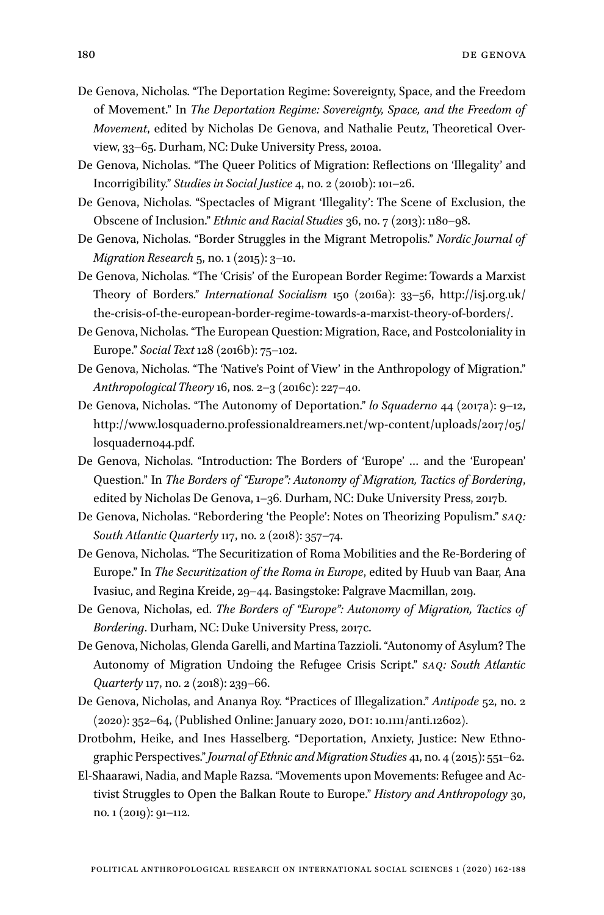- De Genova, Nicholas. "The Deportation Regime: Sovereignty, Space, and the Freedom of Movement." In *The Deportation Regime: Sovereignty, Space, and the Freedom of Movement*, edited by Nicholas De Genova, and Nathalie Peutz, Theoretical Overview, 33–65. Durham, NC: Duke University Press, 2010a.
- De Genova, Nicholas. "The Queer Politics of Migration: Reflections on 'Illegality' and Incorrigibility." *Studies in Social Justice* 4, no. 2 (2010b): 101–26.
- <span id="page-18-5"></span>De Genova, Nicholas. "Spectacles of Migrant 'Illegality': The Scene of Exclusion, the Obscene of Inclusion." *Ethnic and Racial Studies* 36, no. 7 (2013): 1180–98.
- De Genova, Nicholas. "Border Struggles in the Migrant Metropolis." *Nordic Journal of Migration Research* 5, no. 1 (2015): 3–10.
- <span id="page-18-1"></span>De Genova, Nicholas. "The 'Crisis' of the European Border Regime: Towards a Marxist Theory of Borders." *International Socialism* 150 (2016a): 33–56, [http://isj.org.uk/](http://isj.org.uk/the-crisis-of-the-european-border-regime-towards-a-marxist-theory-of-borders/) [the-crisis-of-the-european-border-regime-towards-a-marxist-theory-of-borders/.](http://isj.org.uk/the-crisis-of-the-european-border-regime-towards-a-marxist-theory-of-borders/)
- <span id="page-18-3"></span>De Genova, Nicholas. "The European Question: Migration, Race, and Postcoloniality in Europe." *Social Text* 128 (2016b): 75–102.
- De Genova, Nicholas. "The 'Native's Point of View' in the Anthropology of Migration." *Anthropological Theory* 16, nos. 2–3 (2016c): 227–40.
- <span id="page-18-7"></span>De Genova, Nicholas. "The Autonomy of Deportation." *lo Squaderno* 44 (2017a): 9–12, [http://www.losquaderno.professionaldreamers.net/wp-content/uploads/2017/05/](http://www.losquaderno.professionaldreamers.net/wp-content/uploads/2017/05/losquaderno44.pdf) [losquaderno44.pdf.](http://www.losquaderno.professionaldreamers.net/wp-content/uploads/2017/05/losquaderno44.pdf)
- <span id="page-18-0"></span>De Genova, Nicholas. "Introduction: The Borders of 'Europe' … and the 'European' Question." In *The Borders of "Europe": Autonomy of Migration, Tactics of Bordering*, edited by Nicholas De Genova, 1–36. Durham, NC: Duke University Press, 2017b.
- De Genova, Nicholas. "Rebordering 'the People': Notes on Theorizing Populism." *saq: South Atlantic Quarterly* 117, no. 2 (2018): 357–74.
- <span id="page-18-9"></span>De Genova, Nicholas. "The Securitization of Roma Mobilities and the Re-Bordering of Europe." In *The Securitization of the Roma in Europe*, edited by Huub van Baar, Ana Ivasiuc, and Regina Kreide, 29–44. Basingstoke: Palgrave Macmillan, 2019.
- De Genova, Nicholas, ed. *The Borders of "Europe": Autonomy of Migration, Tactics of Bordering*. Durham, NC: Duke University Press, 2017c.
- <span id="page-18-4"></span>De Genova, Nicholas, Glenda Garelli, and Martina Tazzioli. "Autonomy of Asylum? The Autonomy of Migration Undoing the Refugee Crisis Script." *saq: South Atlantic Quarterly* 117, no. 2 (2018): 239–66.
- <span id="page-18-8"></span>De Genova, Nicholas, and Ananya Roy. "Practices of Illegalization." *Antipode* 52, no. 2 (2020): 352–64, (Published Online: January 2020, DOI: 10.1111/anti.12602).
- <span id="page-18-6"></span>Drotbohm, Heike, and Ines Hasselberg. "Deportation, Anxiety, Justice: New Ethnographic Perspectives." *Journal of Ethnic and Migration Studies* 41, no. 4 (2015): 551–62.
- <span id="page-18-2"></span>El-Shaarawi, Nadia, and Maple Razsa. "Movements upon Movements: Refugee and Activist Struggles to Open the Balkan Route to Europe." *History and Anthropology* 30, no. 1 (2019): 91–112.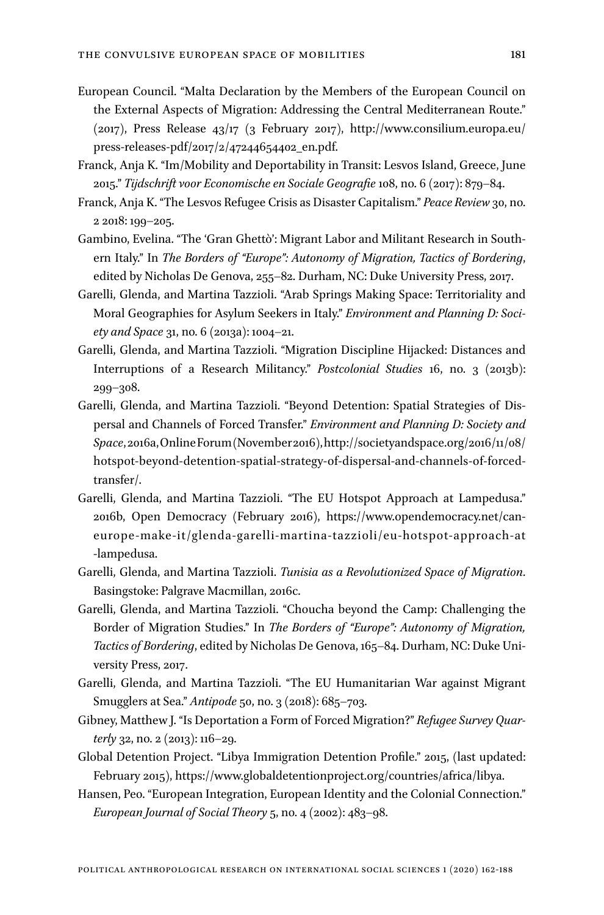- European Council. "Malta Declaration by the Members of the European Council on the External Aspects of Migration: Addressing the Central Mediterranean Route."  $(2017)$ , Press Release  $43/17$  (3 February 2017), [http://www.consilium.europa.eu/](http://www.consilium.europa.eu/press-releases-pdf/2017/2/47244654402_en.pdf%3e) [press-releases-pdf/2017/2/47244654402\\_en.pdf](http://www.consilium.europa.eu/press-releases-pdf/2017/2/47244654402_en.pdf%3e).
- Franck, Anja K. "Im/Mobility and Deportability in Transit: Lesvos Island, Greece, June 2015." *Tijdschrift voor Economische en Sociale Geografie* 108, no. 6 (2017): 879–84.
- <span id="page-19-0"></span>Franck, Anja K. "The Lesvos Refugee Crisis as Disaster Capitalism." *Peace Review* 30, no. 2 2018: 199–205.
- Gambino, Evelina. "The 'Gran Ghettò': Migrant Labor and Militant Research in Southern Italy." In *The Borders of "Europe": Autonomy of Migration, Tactics of Bordering*, edited by Nicholas De Genova, 255–82. Durham, NC: Duke University Press, 2017.
- <span id="page-19-1"></span>Garelli, Glenda, and Martina Tazzioli. "Arab Springs Making Space: Territoriality and Moral Geographies for Asylum Seekers in Italy." *Environment and Planning D: Society and Space* 31, no. 6 (2013a): 1004–21.
- Garelli, Glenda, and Martina Tazzioli. "Migration Discipline Hijacked: Distances and Interruptions of a Research Militancy." *Postcolonial Studies* 16, no. 3 (2013b): 299–308.
- <span id="page-19-3"></span>Garelli, Glenda, and Martina Tazzioli. "Beyond Detention: Spatial Strategies of Dispersal and Channels of Forced Transfer." *Environment and Planning D: Society and Space*, 2016a, Online Forum (November 2016), [http://societyandspace.org/2016/11/08/](http://societyandspace.org/2016/11/08/hotspot-beyond-detention-spatial-strategy-of-dispersal-and-channels-of-forced-transfer/) [hotspot-beyond-detention-spatial-strategy-of-dispersal-and-channels-of-forced](http://societyandspace.org/2016/11/08/hotspot-beyond-detention-spatial-strategy-of-dispersal-and-channels-of-forced-transfer/)[transfer/](http://societyandspace.org/2016/11/08/hotspot-beyond-detention-spatial-strategy-of-dispersal-and-channels-of-forced-transfer/).
- Garelli, Glenda, and Martina Tazzioli. "The EU Hotspot Approach at Lampedusa." 2016b, Open Democracy (February 2016), [https://www.opendemocracy.net/can](https://www.opendemocracy.net/can-europe-make-it/glenda-garelli-martina-tazzioli/eu-hotspot-approach-at-lampedusa)[europe-make-it/glenda-garelli-martina-tazzioli/eu-hotspot-approach-at](https://www.opendemocracy.net/can-europe-make-it/glenda-garelli-martina-tazzioli/eu-hotspot-approach-at-lampedusa) [-lampedusa.](https://www.opendemocracy.net/can-europe-make-it/glenda-garelli-martina-tazzioli/eu-hotspot-approach-at-lampedusa)
- <span id="page-19-5"></span>Garelli, Glenda, and Martina Tazzioli. *Tunisia as a Revolutionized Space of Migration*. Basingstoke: Palgrave Macmillan, 2016c.
- <span id="page-19-2"></span>Garelli, Glenda, and Martina Tazzioli. "Choucha beyond the Camp: Challenging the Border of Migration Studies." In *The Borders of "Europe": Autonomy of Migration, Tactics of Bordering*, edited by Nicholas De Genova, 165–84. Durham, NC: Duke University Press, 2017.
- Garelli, Glenda, and Martina Tazzioli. "The EU Humanitarian War against Migrant Smugglers at Sea." *Antipode* 50, no. 3 (2018): 685–703.
- <span id="page-19-4"></span>Gibney, Matthew J. "Is Deportation a Form of Forced Migration?" *Refugee Survey Quarterly* 32, no. 2 (2013): 116–29.
- Global Detention Project. "Libya Immigration Detention Profile." 2015, (last updated: February 2015), [https://www.globaldetentionproject.org/countries/africa/libya](https://www.globaldetentionproject.org/countries/africa/libya%3e).
- <span id="page-19-6"></span>Hansen, Peo. "European Integration, European Identity and the Colonial Connection." *European Journal of Social Theory* 5, no. 4 (2002): 483–98.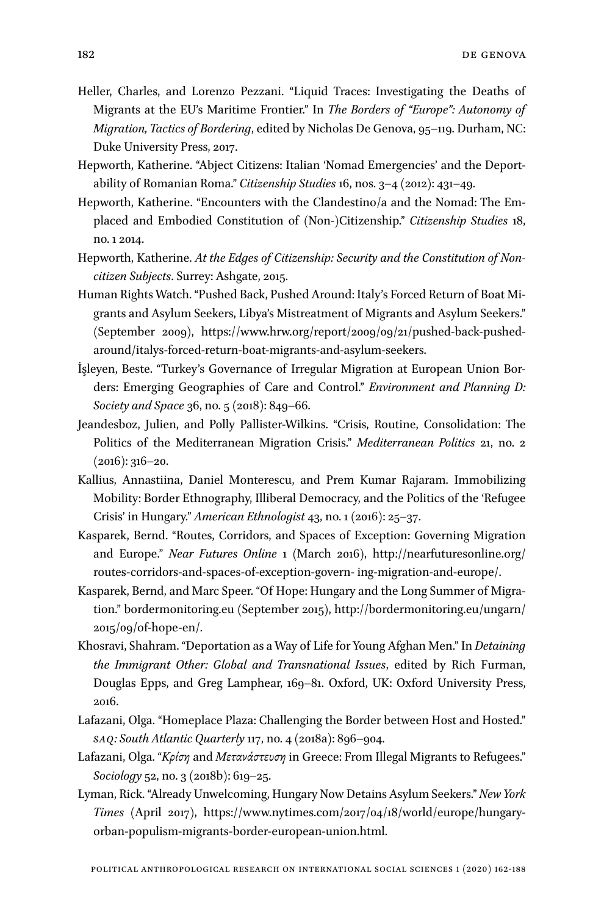- <span id="page-20-5"></span>Heller, Charles, and Lorenzo Pezzani. "Liquid Traces: Investigating the Deaths of Migrants at the EU's Maritime Frontier." In *The Borders of "Europe": Autonomy of Migration, Tactics of Bordering*, edited by Nicholas De Genova, 95–119. Durham, NC: Duke University Press, 2017.
- <span id="page-20-8"></span>Hepworth, Katherine. "Abject Citizens: Italian 'Nomad Emergencies' and the Deportability of Romanian Roma." *Citizenship Studies* 16, nos. 3–4 (2012): 431–49.
- Hepworth, Katherine. "Encounters with the Clandestino/a and the Nomad: The Emplaced and Embodied Constitution of (Non-)Citizenship." *Citizenship Studies* 18, no. 1 2014.
- Hepworth, Katherine. *At the Edges of Citizenship: Security and the Constitution of Noncitizen Subjects*. Surrey: Ashgate, 2015.
- Human Rights Watch. "Pushed Back, Pushed Around: Italy's Forced Return of Boat Migrants and Asylum Seekers, Libya's Mistreatment of Migrants and Asylum Seekers." (September 2009), [https://www.hrw.org/report/2009/09/21/pushed-back-pushed](https://www.hrw.org/report/2009/09/21/pushed-back-pushed-around/italys-forced-return-boat-migrants-and-asylum-seekers%3e)[around/italys-forced-return-boat-migrants-and-asylum-seekers](https://www.hrw.org/report/2009/09/21/pushed-back-pushed-around/italys-forced-return-boat-migrants-and-asylum-seekers%3e).
- <span id="page-20-6"></span>İşleyen, Beste. "Turkey's Governance of Irregular Migration at European Union Borders: Emerging Geographies of Care and Control." *Environment and Planning D: Society and Space* 36, no. 5 (2018): 849–66.
- <span id="page-20-0"></span>Jeandesboz, Julien, and Polly Pallister-Wilkins. "Crisis, Routine, Consolidation: The Politics of the Mediterranean Migration Crisis." *Mediterranean Politics* 21, no. 2 (2016): 316–20.
- Kallius, Annastiina, Daniel Monterescu, and Prem Kumar Rajaram. Immobilizing Mobility: Border Ethnography, Illiberal Democracy, and the Politics of the 'Refugee Crisis' in Hungary." *American Ethnologist* 43, no. 1 (2016): 25–37.
- <span id="page-20-2"></span>Kasparek, Bernd. "Routes, Corridors, and Spaces of Exception: Governing Migration and Europe." *Near Futures Online* 1 (March 2016), <http://nearfuturesonline.org/> routes-corridors-and-spaces-of-exception-govern- ing-migration-and-europe/.
- <span id="page-20-3"></span>Kasparek, Bernd, and Marc Speer. "Of Hope: Hungary and the Long Summer of Migration." bordermonitoring.eu (September 2015), [http://bordermonitoring.eu/ungarn/](http://bordermonitoring.eu/ungarn/2015/09/of-hope-en/%3e) [2015/09/of-hope-en/.](http://bordermonitoring.eu/ungarn/2015/09/of-hope-en/%3e)
- <span id="page-20-7"></span>Khosravi, Shahram. "Deportation as a Way of Life for Young Afghan Men." In *Detaining the Immigrant Other: Global and Transnational Issues*, edited by Rich Furman, Douglas Epps, and Greg Lamphear, 169–81. Oxford, UK: Oxford University Press, 2016.
- <span id="page-20-4"></span>Lafazani, Olga. "Homeplace Plaza: Challenging the Border between Host and Hosted." *saq: South Atlantic Quarterly* 117, no. 4 (2018a): 896–904.
- <span id="page-20-1"></span>Lafazani, Olga. "*Kρίση* and *Μετανάστευση* in Greece: From Illegal Migrants to Refugees." *Sociology* 52, no. 3 (2018b): 619–25.
- Lyman, Rick. "Already Unwelcoming, Hungary Now Detains Asylum Seekers." *New York Times* (April 2017), [https://www.nytimes.com/2017/04/18/world/europe/hungary](https://www.nytimes.com/2017/04/18/world/europe/hungary-orban-populism-migrants-border-european-union.html%3e)[orban-populism-migrants-border-european-union.html](https://www.nytimes.com/2017/04/18/world/europe/hungary-orban-populism-migrants-border-european-union.html%3e).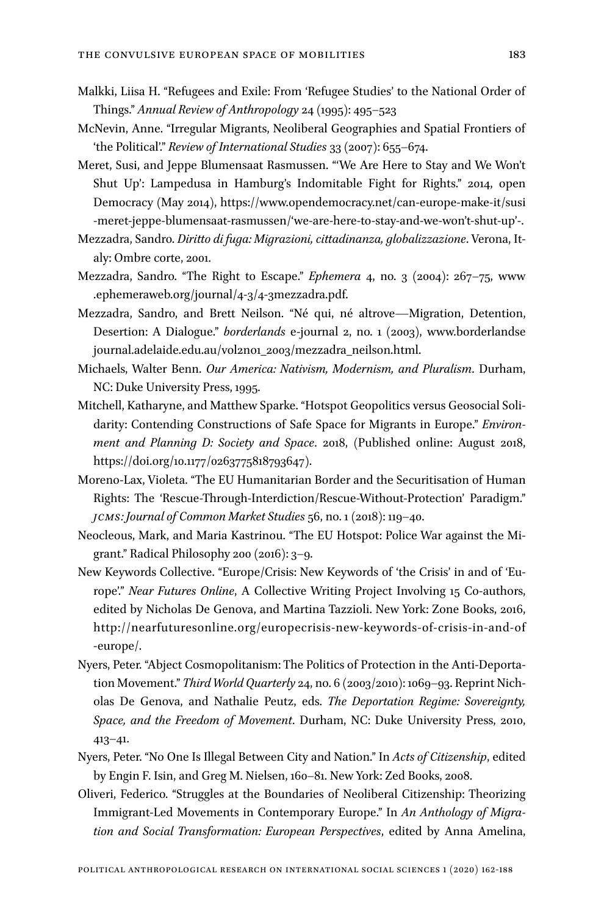- Malkki, Liisa H. "Refugees and Exile: From 'Refugee Studies' to the National Order of Things." *Annual Review of Anthropology* 24 (1995): 495–523
- McNevin, Anne. "Irregular Migrants, Neoliberal Geographies and Spatial Frontiers of 'the Political'." *Review of International Studies* 33 (2007): 655–674.
- <span id="page-21-7"></span>Meret, Susi, and Jeppe Blumensaat Rasmussen. "'We Are Here to Stay and We Won't Shut Up': Lampedusa in Hamburg's Indomitable Fight for Rights." 2014, open Democracy (May 2014), [https://www.opendemocracy.net/can-europe-make-it/susi](https://www.opendemocracy.net/can-europe-make-it/susi-meret-jeppe-blumensaat-rasmussen/‘we-are-here-to-stay-and-we-won’t-shut-up’-%3e) [-meret-jeppe-blumensaat-rasmussen/'we-are-here-to-stay-and-we-won't-shut-up'-](https://www.opendemocracy.net/can-europe-make-it/susi-meret-jeppe-blumensaat-rasmussen/‘we-are-here-to-stay-and-we-won’t-shut-up’-%3e).
- <span id="page-21-6"></span>Mezzadra, Sandro. *Diritto di fuga: Migrazioni, cittadinanza, globalizzazione*. Verona, Italy: Ombre corte, 2001.
- Mezzadra, Sandro. "The Right to Escape." *Ephemera* 4, no. 3 (2004): 267–75, [www](http://www.ephemeraweb.org/journal/4-3/4-3mezzadra.pdf) [.ephemeraweb.org/journal/4-3/4-3mezzadra.pdf.](http://www.ephemeraweb.org/journal/4-3/4-3mezzadra.pdf)
- <span id="page-21-4"></span>Mezzadra, Sandro, and Brett Neilson. "Né qui, né altrove—Migration, Detention, Desertion: A Dialogue." *borderlands* e-journal 2, no. 1 (2003), [www.borderlandse](http://www.borderlandsejournal.adelaide.edu.au/vol2no1_2003/mezzadra_neilson.html%3e) [journal.adelaide.edu.au/vol2no1\\_2003/mezzadra\\_neilson.html.](http://www.borderlandsejournal.adelaide.edu.au/vol2no1_2003/mezzadra_neilson.html%3e)
- Michaels, Walter Benn. *Our America: Nativism, Modernism, and Pluralism*. Durham, NC: Duke University Press, 1995.
- <span id="page-21-1"></span>Mitchell, Katharyne, and Matthew Sparke. "Hotspot Geopolitics versus Geosocial Solidarity: Contending Constructions of Safe Space for Migrants in Europe." *Environment and Planning D: Society and Space*. 2018, (Published online: August 2018, [https://doi.org/10.1177/0263775818793647\)](https://doi.org/10.1177/0263775818793647).
- <span id="page-21-2"></span>Moreno-Lax, Violeta. "The EU Humanitarian Border and the Securitisation of Human Rights: The 'Rescue-Through-Interdiction/Rescue-Without-Protection' Paradigm." *jcms: Journal of Common Market Studies* 56, no. 1 (2018): 119–40.
- <span id="page-21-3"></span>Neocleous, Mark, and Maria Kastrinou. "The EU Hotspot: Police War against the Migrant." Radical Philosophy 200 (2016): 3–9.
- <span id="page-21-0"></span>New Keywords Collective. "Europe/Crisis: New Keywords of 'the Crisis' in and of 'Europe'." *Near Futures Online*, A Collective Writing Project Involving 15 Co-authors, edited by Nicholas De Genova, and Martina Tazzioli. New York: Zone Books, 2016, [http://nearfuturesonline.org/europecrisis-new-keywords-of-crisis-in-and-of](http://nearfuturesonline.org/europecrisis-new-keywords-of-crisis-in-and-of-europe/) [-europe/](http://nearfuturesonline.org/europecrisis-new-keywords-of-crisis-in-and-of-europe/).
- <span id="page-21-5"></span>Nyers, Peter. "Abject Cosmopolitanism: The Politics of Protection in the Anti-Deportation Movement." *Third World Quarterly* 24, no. 6 (2003/2010): 1069–93. Reprint Nicholas De Genova, and Nathalie Peutz, eds. *The Deportation Regime: Sovereignty, Space, and the Freedom of Movement*. Durham, NC: Duke University Press, 2010, 413–41.
- Nyers, Peter. "No One Is Illegal Between City and Nation." In *Acts of Citizenship*, edited by Engin F. Isin, and Greg M. Nielsen, 160–81. New York: Zed Books, 2008.
- <span id="page-21-8"></span>Oliveri, Federico. "Struggles at the Boundaries of Neoliberal Citizenship: Theorizing Immigrant-Led Movements in Contemporary Europe." In *An Anthology of Migration and Social Transformation: European Perspectives*, edited by Anna Amelina,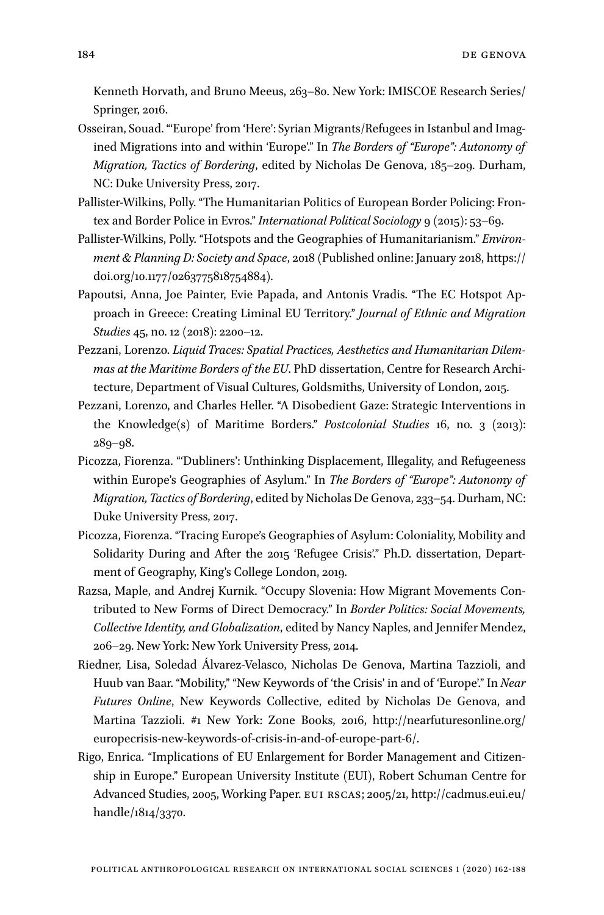Kenneth Horvath, and Bruno Meeus, 263–80. New York: IMISCOE Research Series/ Springer, 2016.

- Osseiran, Souad. "'Europe' from 'Here': Syrian Migrants/Refugees in Istanbul and Imagined Migrations into and within 'Europe'." In *The Borders of "Europe": Autonomy of Migration, Tactics of Bordering*, edited by Nicholas De Genova, 185–209. Durham, NC: Duke University Press, 2017.
- <span id="page-22-1"></span>Pallister-Wilkins, Polly. "The Humanitarian Politics of European Border Policing: Frontex and Border Police in Evros." *International Political Sociology* 9 (2015): 53–69.
- Pallister-Wilkins, Polly. "Hotspots and the Geographies of Humanitarianism." *Environment & Planning D: Society and Space*, 2018 (Published online: January 2018, [https://](https://doi.org/10.1177/0263775818754884) [doi.org/10.1177/0263775818754884\)](https://doi.org/10.1177/0263775818754884).
- <span id="page-22-3"></span>Papoutsi, Anna, Joe Painter, Evie Papada, and Antonis Vradis. "The EC Hotspot Approach in Greece: Creating Liminal EU Territory." *Journal of Ethnic and Migration Studies* 45, no. 12 (2018): 2200–12.
- <span id="page-22-2"></span>Pezzani, Lorenzo. *Liquid Traces: Spatial Practices, Aesthetics and Humanitarian Dilemmas at the Maritime Borders of the EU*. PhD dissertation, Centre for Research Architecture, Department of Visual Cultures, Goldsmiths, University of London, 2015.
- <span id="page-22-4"></span>Pezzani, Lorenzo, and Charles Heller. "A Disobedient Gaze: Strategic Interventions in the Knowledge(s) of Maritime Borders." *Postcolonial Studies* 16, no. 3 (2013): 289–98.
- <span id="page-22-5"></span>Picozza, Fiorenza. "'Dubliners': Unthinking Displacement, Illegality, and Refugeeness within Europe's Geographies of Asylum." In *The Borders of "Europe": Autonomy of Migration, Tactics of Bordering*, edited by Nicholas De Genova, 233–54. Durham, NC: Duke University Press, 2017.
- Picozza, Fiorenza. "Tracing Europe's Geographies of Asylum: Coloniality, Mobility and Solidarity During and After the 2015 'Refugee Crisis'." Ph.D. dissertation, Department of Geography, King's College London, 2019.
- <span id="page-22-0"></span>Razsa, Maple, and Andrej Kurnik. "Occupy Slovenia: How Migrant Movements Contributed to New Forms of Direct Democracy." In *Border Politics: Social Movements, Collective Identity, and Globalization*, edited by Nancy Naples, and Jennifer Mendez, 206–29. New York: New York University Press, 2014.
- <span id="page-22-7"></span>Riedner, Lisa, Soledad Álvarez-Velasco, Nicholas De Genova, Martina Tazzioli, and Huub van Baar. "Mobility," "New Keywords of 'the Crisis' in and of 'Europe'." In *Near Futures Online*, New Keywords Collective, edited by Nicholas De Genova, and Martina Tazzioli. #1 New York: Zone Books, 2016, [http://nearfuturesonline.org/](http://nearfuturesonline.org/europecrisis-new-keywords-of-crisis-in-and-of-europe-part-6/%3e) [europecrisis-new-keywords-of-crisis-in-and-of-europe-part-6/](http://nearfuturesonline.org/europecrisis-new-keywords-of-crisis-in-and-of-europe-part-6/%3e).
- <span id="page-22-6"></span>Rigo, Enrica. "Implications of EU Enlargement for Border Management and Citizenship in Europe." European University Institute (EUI), Robert Schuman Centre for Advanced Studies, 2005, Working Paper. eui rscas; 2005/21, [http://cadmus.eui.eu/](http://cadmus.eui.eu/handle/1814/3370%3e) [handle/1814/3370](http://cadmus.eui.eu/handle/1814/3370%3e).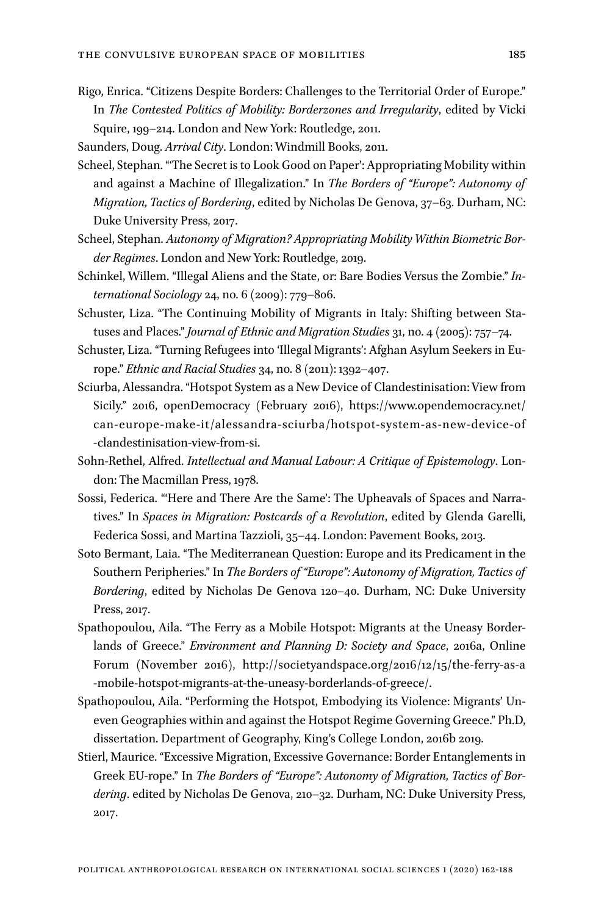- <span id="page-23-3"></span>Rigo, Enrica. "Citizens Despite Borders: Challenges to the Territorial Order of Europe." In *The Contested Politics of Mobility: Borderzones and Irregularity*, edited by Vicki Squire, 199–214. London and New York: Routledge, 2011.
- Saunders, Doug. *Arrival City*. London: Windmill Books, 2011.
- <span id="page-23-0"></span>Scheel, Stephan. "'The Secret is to Look Good on Paper': Appropriating Mobility within and against a Machine of Illegalization." In *The Borders of "Europe": Autonomy of Migration, Tactics of Bordering*, edited by Nicholas De Genova, 37–63. Durham, NC: Duke University Press, 2017.
- Scheel, Stephan. *Autonomy of Migration? Appropriating Mobility Within Biometric Border Regimes*. London and New York: Routledge, 2019.
- <span id="page-23-6"></span>Schinkel, Willem. "Illegal Aliens and the State, or: Bare Bodies Versus the Zombie." *International Sociology* 24, no. 6 (2009): 779–806.
- <span id="page-23-5"></span>Schuster, Liza. "The Continuing Mobility of Migrants in Italy: Shifting between Statuses and Places." *Journal of Ethnic and Migration Studies* 31, no. 4 (2005): 757–74.
- <span id="page-23-4"></span>Schuster, Liza. "Turning Refugees into 'Illegal Migrants': Afghan Asylum Seekers in Europe." *Ethnic and Racial Studies* 34, no. 8 (2011): 1392–407.
- <span id="page-23-2"></span>Sciurba, Alessandra. "Hotspot System as a New Device of Clandestinisation: View from Sicily." 2016, openDemocracy (February 2016), [https://www.opendemocracy.net/](https://www.opendemocracy.net/can-europe-make-it/alessandra-sciurba/hotspot-system-as-new-device-of-clandestinisation-view-from-si%3e) [can-europe-make-it/alessandra-sciurba/hotspot-system-as-new-device-of](https://www.opendemocracy.net/can-europe-make-it/alessandra-sciurba/hotspot-system-as-new-device-of-clandestinisation-view-from-si%3e) [-clandestinisation-view-from-si](https://www.opendemocracy.net/can-europe-make-it/alessandra-sciurba/hotspot-system-as-new-device-of-clandestinisation-view-from-si%3e).
- Sohn-Rethel, Alfred. *Intellectual and Manual Labour: A Critique of Epistemology*. London: The Macmillan Press, 1978.
- Sossi, Federica. "'Here and There Are the Same': The Upheavals of Spaces and Narratives." In *Spaces in Migration: Postcards of a Revolution*, edited by Glenda Garelli, Federica Sossi, and Martina Tazzioli, 35–44. London: Pavement Books, 2013.
- Soto Bermant, Laia. "The Mediterranean Question: Europe and its Predicament in the Southern Peripheries." In *The Borders of "Europe": Autonomy of Migration, Tactics of Bordering*, edited by Nicholas De Genova 120–40. Durham, NC: Duke University Press, 2017.
- Spathopoulou, Aila. "The Ferry as a Mobile Hotspot: Migrants at the Uneasy Borderlands of Greece." *Environment and Planning D: Society and Space*, 2016a, Online Forum (November 2016), [http://societyandspace.org/2016/12/15/the-ferry-as-a](http://societyandspace.org/2016/12/15/the-ferry-as-a-mobile-hotspot-migrants-at-the-uneasy-borderlands-of-greece/%3e) [-mobile-hotspot-migrants-at-the-uneasy-borderlands-of-greece/](http://societyandspace.org/2016/12/15/the-ferry-as-a-mobile-hotspot-migrants-at-the-uneasy-borderlands-of-greece/%3e).
- Spathopoulou, Aila. "Performing the Hotspot, Embodying its Violence: Migrants' Uneven Geographies within and against the Hotspot Regime Governing Greece." Ph.D, dissertation. Department of Geography, King's College London, 2016b 2019.
- <span id="page-23-1"></span>Stierl, Maurice. "Excessive Migration, Excessive Governance: Border Entanglements in Greek EU-rope." In *The Borders of "Europe": Autonomy of Migration, Tactics of Bordering*. edited by Nicholas De Genova, 210–32. Durham, NC: Duke University Press, 2017.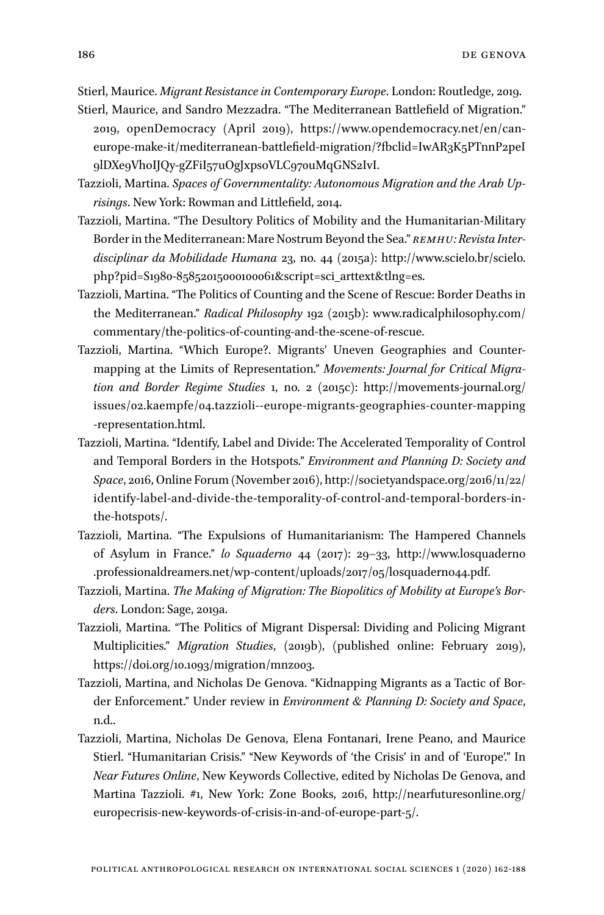<span id="page-24-1"></span>Stierl, Maurice. *Migrant Resistance in Contemporary Europe*. London: Routledge, 2019.

- Stierl, Maurice, and Sandro Mezzadra. "The Mediterranean Battlefield of Migration." 2019, openDemocracy (April 2019), [https://www.opendemocracy.net/en/can](https://www.opendemocracy.net/en/can-europe-make-it/mediterranean-battlefield-migration/?fbclid=IwAR3K5PTnnP2peI9lDXe9VhoIJQy-gZFiI57uOgJxpsoVLC970uMqGNS2IvI)[europe-make-it/mediterranean-battlefield-migration/?fbclid=IwAR3K5PTnnP2peI](https://www.opendemocracy.net/en/can-europe-make-it/mediterranean-battlefield-migration/?fbclid=IwAR3K5PTnnP2peI9lDXe9VhoIJQy-gZFiI57uOgJxpsoVLC970uMqGNS2IvI) [9lDXe9VhoIJQy-gZFiI57uOgJxpsoVLC970uMqGNS2IvI](https://www.opendemocracy.net/en/can-europe-make-it/mediterranean-battlefield-migration/?fbclid=IwAR3K5PTnnP2peI9lDXe9VhoIJQy-gZFiI57uOgJxpsoVLC970uMqGNS2IvI).
- <span id="page-24-0"></span>Tazzioli, Martina. *Spaces of Governmentality: Autonomous Migration and the Arab Uprisings*. New York: Rowman and Littlefield, 2014.
- Tazzioli, Martina. "The Desultory Politics of Mobility and the Humanitarian-Military Border in the Mediterranean: Mare Nostrum Beyond the Sea." *REMHU: Revista Interdisciplinar da Mobilidade Humana* 23, no. 44 (2015a): [http://www.scielo.br/scielo.](http://www.scielo.br/scielo.php?pid=S1980-85852015000100061&script=sci_arttext&tlng=es%3e) [php?pid=S1980-85852015000100061&script=sci\\_arttext&tlng=es](http://www.scielo.br/scielo.php?pid=S1980-85852015000100061&script=sci_arttext&tlng=es%3e).
- Tazzioli, Martina. "The Politics of Counting and the Scene of Rescue: Border Deaths in the Mediterranean." *Radical Philosophy* 192 (2015b): [www.radicalphilosophy.com/](http://www.radicalphilosophy.com/commentary/the-politics-of-counting-and-the-scene-of-rescue%3e) [commentary/the-politics-of-counting-and-the-scene-of-rescue](http://www.radicalphilosophy.com/commentary/the-politics-of-counting-and-the-scene-of-rescue%3e).
- <span id="page-24-2"></span>Tazzioli, Martina. "Which Europe?. Migrants' Uneven Geographies and Countermapping at the Limits of Representation." *Movements: Journal for Critical Migration and Border Regime Studies* 1, no. 2 (2015c): [http://movements-journal.org/](http://movements-journal.org/issues/02.kaempfe/04.tazzioli--europe-migrants-geographies-counter-mapping-representation.html) [issues/02.kaempfe/04.tazzioli--europe-migrants-geographies-counter-mapping](http://movements-journal.org/issues/02.kaempfe/04.tazzioli--europe-migrants-geographies-counter-mapping-representation.html) [-representation.html.](http://movements-journal.org/issues/02.kaempfe/04.tazzioli--europe-migrants-geographies-counter-mapping-representation.html)
- Tazzioli, Martina. "Identify, Label and Divide: The Accelerated Temporality of Control and Temporal Borders in the Hotspots." *Environment and Planning D: Society and Space*, 2016, Online Forum (November 2016), [http://societyandspace.org/2016/11/22/](http://societyandspace.org/2016/11/22/identify-label-and-divide-the-temporality-of-control-and-temporal-borders-in-the-hotspots/) [identify-label-and-divide-the-temporality-of-control-and-temporal-borders-in](http://societyandspace.org/2016/11/22/identify-label-and-divide-the-temporality-of-control-and-temporal-borders-in-the-hotspots/)[the-hotspots/.](http://societyandspace.org/2016/11/22/identify-label-and-divide-the-temporality-of-control-and-temporal-borders-in-the-hotspots/)
- <span id="page-24-3"></span>Tazzioli, Martina. "The Expulsions of Humanitarianism: The Hampered Channels of Asylum in France." *lo Squaderno* 44 (2017): 29–33, [http://www.losquaderno](http://www.losquaderno.professionaldreamers.net/wp-content/uploads/2017/05/losquaderno44.pdf%3e) [.professionaldreamers.net/wp-content/uploads/2017/05/losquaderno44.pdf](http://www.losquaderno.professionaldreamers.net/wp-content/uploads/2017/05/losquaderno44.pdf%3e).
- Tazzioli, Martina. *The Making of Migration: The Biopolitics of Mobility at Europe's Borders*. London: Sage, 2019a.
- Tazzioli, Martina. "The Politics of Migrant Dispersal: Dividing and Policing Migrant Multiplicities." *Migration Studies*, (2019b), (published online: February 2019), <https://doi.org/10.1093/migration/mnz003>.
- Tazzioli, Martina, and Nicholas De Genova. "Kidnapping Migrants as a Tactic of Border Enforcement." Under review in *Environment & Planning D: Society and Space*, n.d..
- Tazzioli, Martina, Nicholas De Genova, Elena Fontanari, Irene Peano, and Maurice Stierl. "Humanitarian Crisis." "New Keywords of 'the Crisis' in and of 'Europe'." In *Near Futures Online*, New Keywords Collective, edited by Nicholas De Genova, and Martina Tazzioli. #1, New York: Zone Books, 2016, [http://nearfuturesonline.org/](http://nearfuturesonline.org/europecrisis-new-keywords-of-crisis-in-and-of-europe-part-5/%3e) [europecrisis-new-keywords-of-crisis-in-and-of-europe-part-5/.](http://nearfuturesonline.org/europecrisis-new-keywords-of-crisis-in-and-of-europe-part-5/%3e)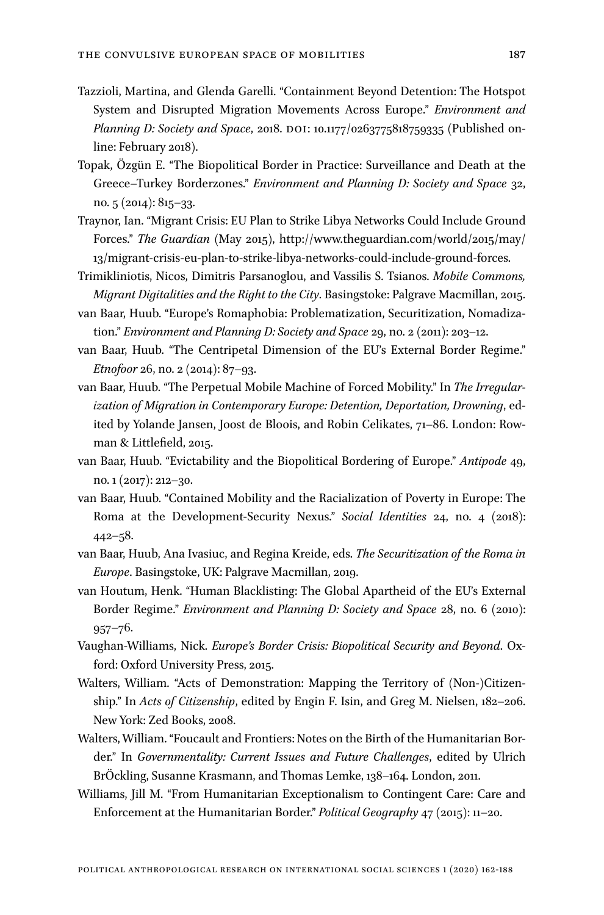- Tazzioli, Martina, and Glenda Garelli. "Containment Beyond Detention: The Hotspot System and Disrupted Migration Movements Across Europe." *Environment and Planning D: Society and Space*, 2018. DOI: 10.1177/0263775818759335 (Published online: February 2018).
- <span id="page-25-0"></span>Topak, Özgün E. "The Biopolitical Border in Practice: Surveillance and Death at the Greece–Turkey Borderzones." *Environment and Planning D: Society and Space* 32, no. 5 (2014): 815–33.
- Traynor, Ian. "Migrant Crisis: EU Plan to Strike Libya Networks Could Include Ground Forces." *The Guardian* (May 2015), [http://www.theguardian.com/world/2015/may/](http://www.theguardian.com/world/2015/may/13/migrant-crisis-eu-plan-to-strike-libya-networks-could-include-ground-forces%3e) [13/migrant-crisis-eu-plan-to-strike-libya-networks-could-include-ground-forces.](http://www.theguardian.com/world/2015/may/13/migrant-crisis-eu-plan-to-strike-libya-networks-could-include-ground-forces%3e)
- Trimikliniotis, Nicos, Dimitris Parsanoglou, and Vassilis S. Tsianos. *Mobile Commons, Migrant Digitalities and the Right to the City*. Basingstoke: Palgrave Macmillan, 2015.
- <span id="page-25-4"></span>van Baar, Huub. "Europe's Romaphobia: Problematization, Securitization, Nomadization." *Environment and Planning D: Society and Space* 29, no. 2 (2011): 203–12.
- van Baar, Huub. "The Centripetal Dimension of the EU's External Border Regime." *Etnofoor* 26, no. 2 (2014): 87–93.
- <span id="page-25-5"></span>van Baar, Huub. "The Perpetual Mobile Machine of Forced Mobility." In *The Irregularization of Migration in Contemporary Europe: Detention, Deportation, Drowning*, edited by Yolande Jansen, Joost de Bloois, and Robin Celikates, 71–86. London: Rowman & Littlefield, 2015.
- van Baar, Huub. "Evictability and the Biopolitical Bordering of Europe." *Antipode* 49, no. 1 (2017): 212–30.
- van Baar, Huub. "Contained Mobility and the Racialization of Poverty in Europe: The Roma at the Development-Security Nexus." *Social Identities* 24, no. 4 (2018): 442–58.
- <span id="page-25-6"></span>van Baar, Huub, Ana Ivasiuc, and Regina Kreide, eds. *The Securitization of the Roma in Europe*. Basingstoke, UK: Palgrave Macmillan, 2019.
- <span id="page-25-7"></span>van Houtum, Henk. "Human Blacklisting: The Global Apartheid of the EU's External Border Regime." *Environment and Planning D: Society and Space* 28, no. 6 (2010): 957–76.
- <span id="page-25-1"></span>Vaughan-Williams, Nick. *Europe's Border Crisis: Biopolitical Security and Beyond*. Oxford: Oxford University Press, 2015.
- Walters, William. "Acts of Demonstration: Mapping the Territory of (Non-)Citizenship." In *Acts of Citizenship*, edited by Engin F. Isin, and Greg M. Nielsen, 182–206. New York: Zed Books, 2008.
- <span id="page-25-2"></span>Walters, William. "Foucault and Frontiers: Notes on the Birth of the Humanitarian Border." In *Governmentality: Current Issues and Future Challenges*, edited by Ulrich BrÖckling, Susanne Krasmann, and Thomas Lemke, 138–164. London, 2011.
- <span id="page-25-3"></span>Williams, Jill M. "From Humanitarian Exceptionalism to Contingent Care: Care and Enforcement at the Humanitarian Border." *Political Geography* 47 (2015): 11–20.